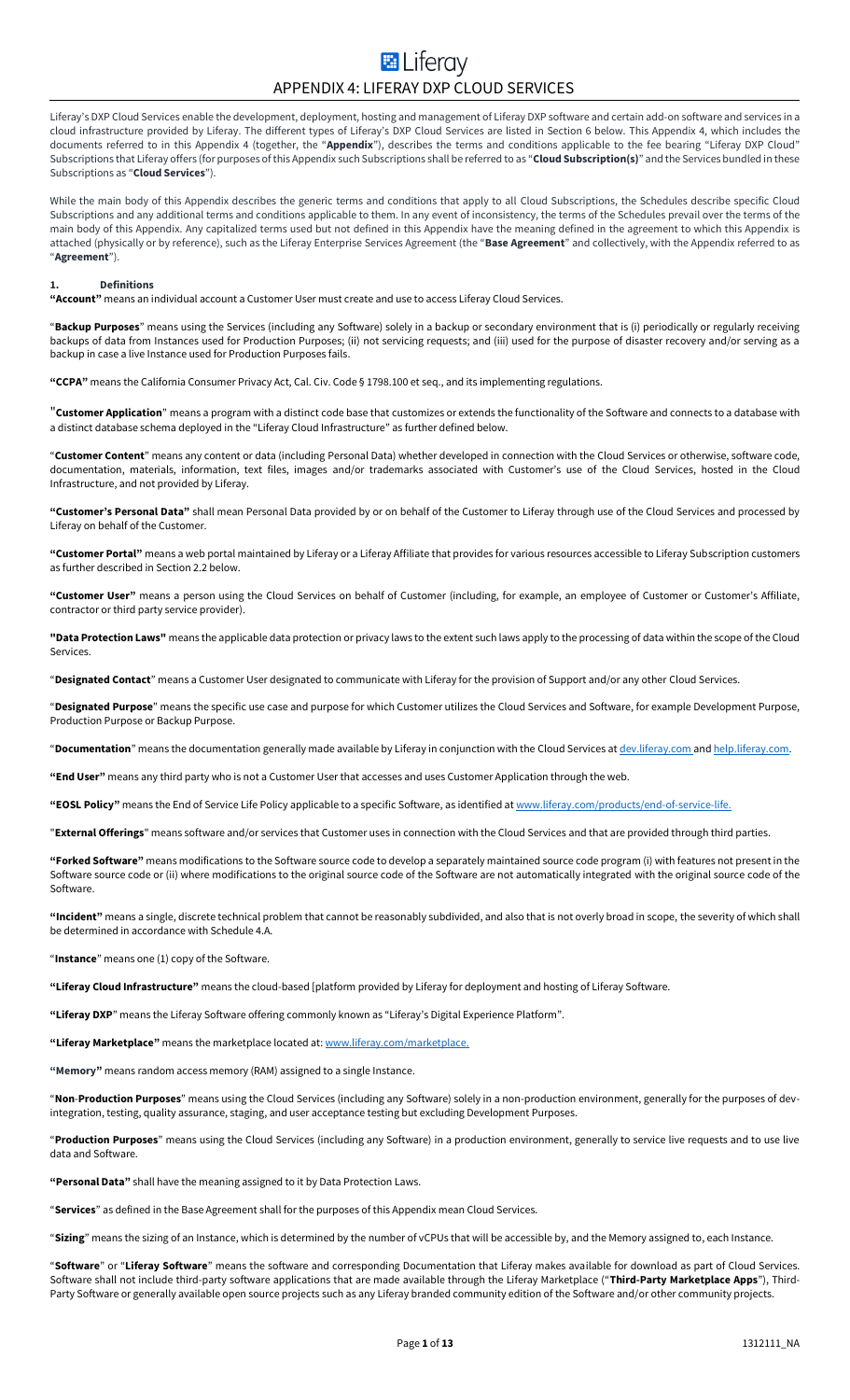# **E** Liferav APPENDIX 4: LIFERAY DXP CLOUD SERVICES

Liferay's DXP Cloud Services enable the development, deployment, hosting and management of Liferay DXP software and certain add-on software and services in a cloud infrastructure provided by Liferay. The different types of Liferay's DXP Cloud Services are listed in Section 6 below. This Appendix 4, which includes the documents referred to in this Appendix 4 (together, the "**Appendix**"), describes the terms and conditions applicable to the fee bearing "Liferay DXP Cloud" Subscriptions that Liferay offers (for purposes of this Appendix such Subscriptions shall be referred to as "**Cloud Subscription(s)**" and the Services bundled in these Subscriptions as "**Cloud Services**").

While the main body of this Appendix describes the generic terms and conditions that apply to all Cloud Subscriptions, the Schedules describe specific Cloud Subscriptions and any additional terms and conditions applicable to them. In any event of inconsistency, the terms of the Schedules prevail over the terms of the main body of this Appendix. Any capitalized terms used but not defined in this Appendix have the meaning defined in the agreement to which this Appendix is attached (physically or by reference), such as the Liferay Enterprise Services Agreement (the "**Base Agreement**" and collectively, with the Appendix referred to as "**Agreement**").

# **1. Definitions**

**"Account"** means an individual account a Customer User must create and use to access Liferay Cloud Services.

"**Backup Purposes**" means using the Services (including any Software) solely in a backup or secondary environment that is (i) periodically or regularly receiving backups of data from Instances used for Production Purposes; (ii) not servicing requests; and (iii) used for the purpose of disaster recovery and/or serving as a backup in case a live Instance used for Production Purposes fails.

**"CCPA"** means the California Consumer Privacy Act, Cal. Civ. Code § 1798.100 et seq., and its implementing regulations.

"**Customer Application**" means a program with a distinct code base that customizes or extends the functionality of the Software and connects to a database with a distinct database schema deployed in the "Liferay Cloud Infrastructure" as further defined below.

"**Customer Content**" means any content or data (including Personal Data) whether developed in connection with the Cloud Services or otherwise, software code, documentation, materials, information, text files, images and/or trademarks associated with Customer's use of the Cloud Services, hosted in the Cloud Infrastructure, and not provided by Liferay.

**"Customer's Personal Data"** shall mean Personal Data provided by or on behalf of the Customer to Liferay through use of the Cloud Services and processed by Liferay on behalf of the Customer.

**"Customer Portal"** means a web portal maintained by Liferay or a Liferay Affiliate that provides for various resources accessible to Liferay Subscription customers as further described in Section 2.2 below.

**"Customer User"** means a person using the Cloud Services on behalf of Customer (including, for example, an employee of Customer or Customer's Affiliate, contractor or third party service provider).

**"Data Protection Laws"** means the applicable data protection or privacy laws to the extent such laws apply to the processing of data within the scope of the Cloud **Services** 

"**Designated Contact**" means a Customer User designated to communicate with Liferay for the provision of Support and/or any other Cloud Services.

"**Designated Purpose**" means the specific use case and purpose for which Customer utilizes the Cloud Services and Software, for example Development Purpose, Production Purpose or Backup Purpose.

"**Documentation**" means the documentation generally made available by Liferay in conjunction with the Cloud Services a[t dev.liferay.com](file:///C:/Users/olga.ernst/Documents/in.liferay.com/Legal%20Internal/Base%20Agreements/Enterprise%20Services%20Agreement%20(ESA)/Appendix%201%20(Subscription%20Services)/Revisions/v1.3.0%20(1301605)/dev.liferay.com) and help.liferay.com.

**"End User"** means any third party who is not a Customer User that accesses and uses Customer Application through the web.

**"EOSL Policy"** means the End of Service Life Policy applicable to a specific Software, as identified a[t www.liferay.com/products/end-of-service-life.](https://www.liferay.com/products/end-of-service-life)

"**External Offerings**" means software and/or services that Customer uses in connection with the Cloud Services and that are provided through third parties.

**"Forked Software"** means modifications to the Software source code to develop a separately maintained source code program (i) with features not present in the Software source code or (ii) where modifications to the original source code of the Software are not automatically integrated with the original source code of the Software.

**"Incident"** means a single, discrete technical problem that cannot be reasonably subdivided, and also that is not overly broad in scope, the severity of which shall be determined in accordance with Schedule 4.A.

"**Instance**" means one (1) copy of the Software.

**"Liferay Cloud Infrastructure"** means the cloud-based [platform provided by Liferay for deployment and hosting of Liferay Software.

**"Liferay DXP**" means the Liferay Software offering commonly known as "Liferay's Digital Experience Platform".

**"Liferay Marketplace"** means the marketplace located at: [www.liferay.com/marketplace.](http://www.liferay.com/marketplace)

**"Memory"** means random access memory (RAM) assigned to a single Instance.

"**Non**-**Production Purposes**" means using the Cloud Services (including any Software) solely in a non-production environment, generally for the purposes of devintegration, testing, quality assurance, staging, and user acceptance testing but excluding Development Purposes.

"**Production Purposes**" means using the Cloud Services (including any Software) in a production environment, generally to service live requests and to use live data and Software.

**"Personal Data"** shall have the meaning assigned to it by Data Protection Laws.

"**Services**" as defined in the Base Agreement shall for the purposes of this Appendix mean Cloud Services.

"**Sizing**" means the sizing of an Instance, which is determined by the number of vCPUs that will be accessible by, and the Memory assigned to, each Instance.

"**Software**" or "**Liferay Software**" means the software and corresponding Documentation that Liferay makes available for download as part of Cloud Services. Software shall not include third-party software applications that are made available through the Liferay Marketplace ("**Third-Party Marketplace Apps**"), Third-Party Software or generally available open source projects such as any Liferay branded community edition of the Software and/or other community projects.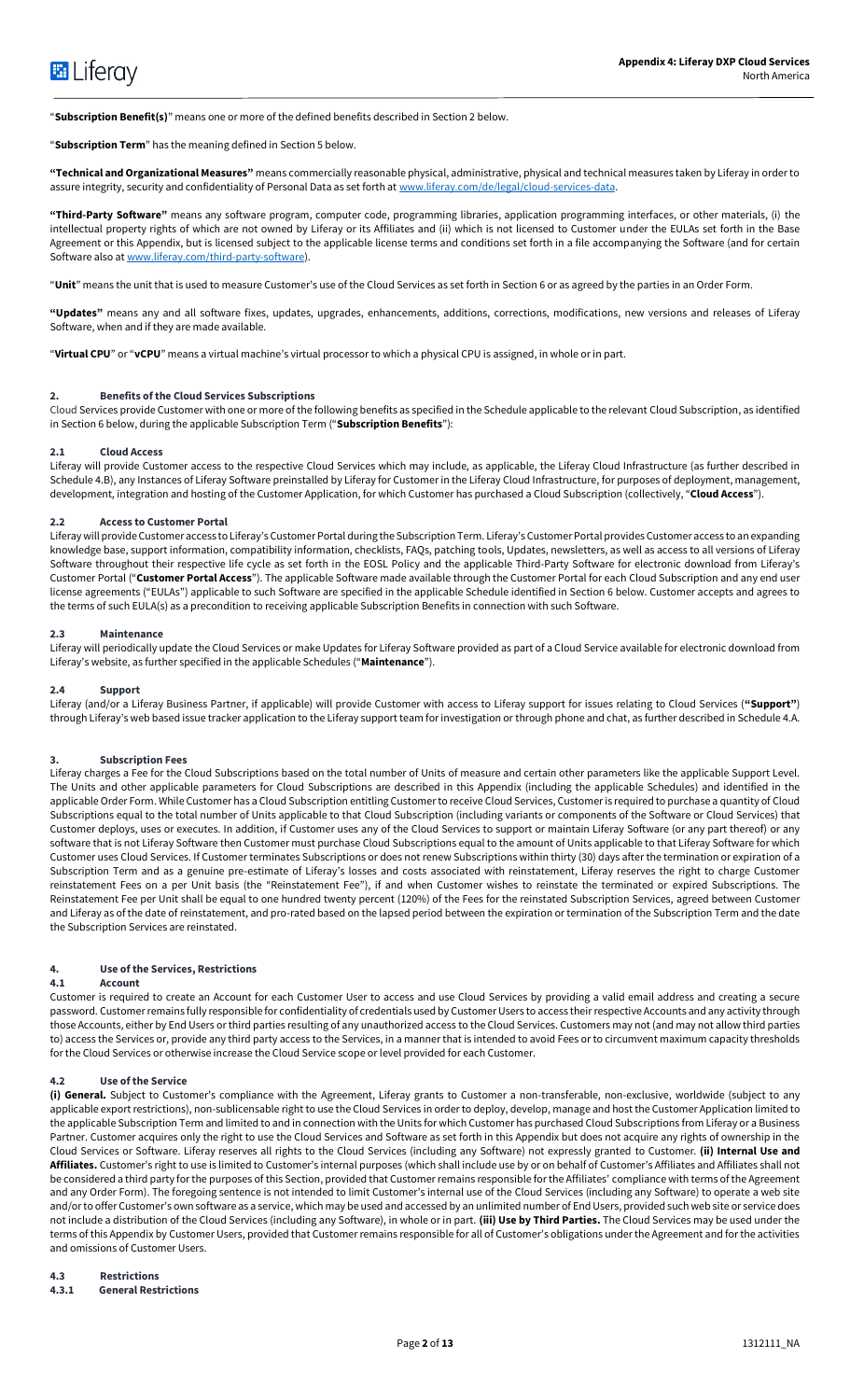"**Subscription Benefit(s)**" means one or more of the defined benefits described in Section 2 below.

"**Subscription Term**" has the meaning defined in Section 5 below.

**"Technical and Organizational Measures"** means commercially reasonable physical, administrative, physical and technical measures taken by Liferay in order to assure integrity, security and confidentiality of Personal Data as set forth at [www.liferay.com/de/legal/cloud-services-data.](http://www.liferay.com/de/legal/cloud-services-data)

**"Third-Party Software"** means any software program, computer code, programming libraries, application programming interfaces, or other materials, (i) the intellectual property rights of which are not owned by Liferay or its Affiliates and (ii) which is not licensed to Customer under the EULAs set forth in the Base Agreement or this Appendix, but is licensed subject to the applicable license terms and conditions set forth in a file accompanying the Software (and for certain Software also a[t www.liferay.com/third-party-software\)](http://www.liferay.com/third-party-software).

"**Unit**" means the unit that is used to measure Customer's use of the Cloud Services as set forth in Section 6 or as agreed by the parties in an Order Form.

**"Updates"** means any and all software fixes, updates, upgrades, enhancements, additions, corrections, modifications, new versions and releases of Liferay Software, when and if they are made available.

"**Virtual CPU**" or "**vCPU**" means a virtual machine's virtual processor to which a physical CPU is assigned, in whole or in part.

# **2. Benefits of the Cloud Services Subscriptions**

Cloud Services provide Customer with one or more of the following benefits as specified in the Schedule applicable to the relevant Cloud Subscription, as identified in Section 6 below, during the applicable Subscription Term ("**Subscription Benefits**"):

#### **2.1 Cloud Access**

Liferay will provide Customer access to the respective Cloud Services which may include, as applicable, the Liferay Cloud Infrastructure (as further described in Schedule 4.B), any Instances of Liferay Software preinstalled by Liferay for Customer in the Liferay Cloud Infrastructure, for purposes of deployment, management, development, integration and hosting of the Customer Application, for which Customer has purchased a Cloud Subscription (collectively, "**Cloud Access**").

#### **2.2 Access to Customer Portal**

Liferay will provide Customer access to Liferay's Customer Portal during the Subscription Term. Liferay's Customer Portal provides Customer access to an expanding knowledge base, support information, compatibility information, checklists, FAQs, patching tools, Updates, newsletters, as well as access to all versions of Liferay Software throughout their respective life cycle as set forth in the EOSL Policy and the applicable Third-Party Software for electronic download from Liferay's Customer Portal ("**Customer Portal Access**"). The applicable Software made available through the Customer Portal for each Cloud Subscription and any end user license agreements ("EULAs") applicable to such Software are specified in the applicable Schedule identified in Section 6 below. Customer accepts and agrees to the terms of such EULA(s) as a precondition to receiving applicable Subscription Benefits in connection with such Software.

# **2.3 Maintenance**

Liferay will periodically update the Cloud Services or make Updates for Liferay Software provided as part of a Cloud Service available for electronic download from Liferay's website, as further specified in the applicable Schedules ("**Maintenance**").

### **2.4 Support**

Liferay (and/or a Liferay Business Partner, if applicable) will provide Customer with access to Liferay support for issues relating to Cloud Services (**"Support"**) through Liferay's web based issue tracker application to the Liferay support team for investigation or through phone and chat, as further described in Schedule 4.A.

# **3. Subscription Fees**

Liferay charges a Fee for the Cloud Subscriptions based on the total number of Units of measure and certain other parameters like the applicable Support Level. The Units and other applicable parameters for Cloud Subscriptions are described in this Appendix (including the applicable Schedules) and identified in the applicable Order Form. While Customer has a Cloud Subscription entitling Customer to receive Cloud Services, Customer is required to purchase a quantity of Cloud Subscriptions equal to the total number of Units applicable to that Cloud Subscription (including variants or components of the Software or Cloud Services) that Customer deploys, uses or executes. In addition, if Customer uses any of the Cloud Services to support or maintain Liferay Software (or any part thereof) or any software that is not Liferay Software then Customer must purchase Cloud Subscriptions equal to the amount of Units applicable to that Liferay Software for which Customer uses Cloud Services. If Customer terminates Subscriptions or does not renew Subscriptions within thirty (30) days after the termination or expiration of a Subscription Term and as a genuine pre-estimate of Liferay's losses and costs associated with reinstatement, Liferay reserves the right to charge Customer reinstatement Fees on a per Unit basis (the "Reinstatement Fee"), if and when Customer wishes to reinstate the terminated or expired Subscriptions. The Reinstatement Fee per Unit shall be equal to one hundred twenty percent (120%) of the Fees for the reinstated Subscription Services, agreed between Customer and Liferay as of the date of reinstatement, and pro-rated based on the lapsed period between the expiration or termination of the Subscription Term and the date the Subscription Services are reinstated.

# **4. Use of the Services, Restrictions**

#### **4.1 Account**

Customer is required to create an Account for each Customer User to access and use Cloud Services by providing a valid email address and creating a secure password. Customer remains fully responsible for confidentiality of credentials used by Customer Users to access theirrespective Accounts and any activity through those Accounts, either by End Users or third parties resulting of any unauthorized access to the Cloud Services. Customers may not (and may not allow third parties to) access the Services or, provide any third party access to the Services, in a manner that is intended to avoid Fees or to circumvent maximum capacity thresholds for the Cloud Services or otherwise increase the Cloud Service scope or level provided for each Customer.

# **4.2 Use of the Service**

**(i) General.** Subject to Customer's compliance with the Agreement, Liferay grants to Customer a non-transferable, non-exclusive, worldwide (subject to any applicable export restrictions), non-sublicensable right to use the Cloud Services in order to deploy, develop, manage and host the Customer Application limited to the applicable Subscription Term and limited to and in connection with the Units for which Customer has purchased Cloud Subscriptions from Liferay or a Business Partner. Customer acquires only the right to use the Cloud Services and Software as set forth in this Appendix but does not acquire any rights of ownership in the Cloud Services or Software. Liferay reserves all rights to the Cloud Services (including any Software) not expressly granted to Customer. **(ii) Internal Use and Affiliates.** Customer's right to use is limited to Customer's internal purposes (which shall include use by or on behalf of Customer's Affiliates and Affiliates shall not be considered a third party for the purposes of this Section, provided that Customer remains responsible for the Affiliates' compliance with terms of the Agreement and any Order Form). The foregoing sentence is not intended to limit Customer's internal use of the Cloud Services (including any Software) to operate a web site and/or to offer Customer's own software as a service, which may be used and accessed by an unlimited number of End Users, provided such web site or service does not include a distribution of the Cloud Services (including any Software), in whole or in part. **(iii) Use by Third Parties.** The Cloud Services may be used under the terms of this Appendix by Customer Users, provided that Customer remains responsible for all of Customer's obligations under the Agreement and for the activities and omissions of Customer Users.

#### **4.3 Restrictions 4.3.1 General Restrictions**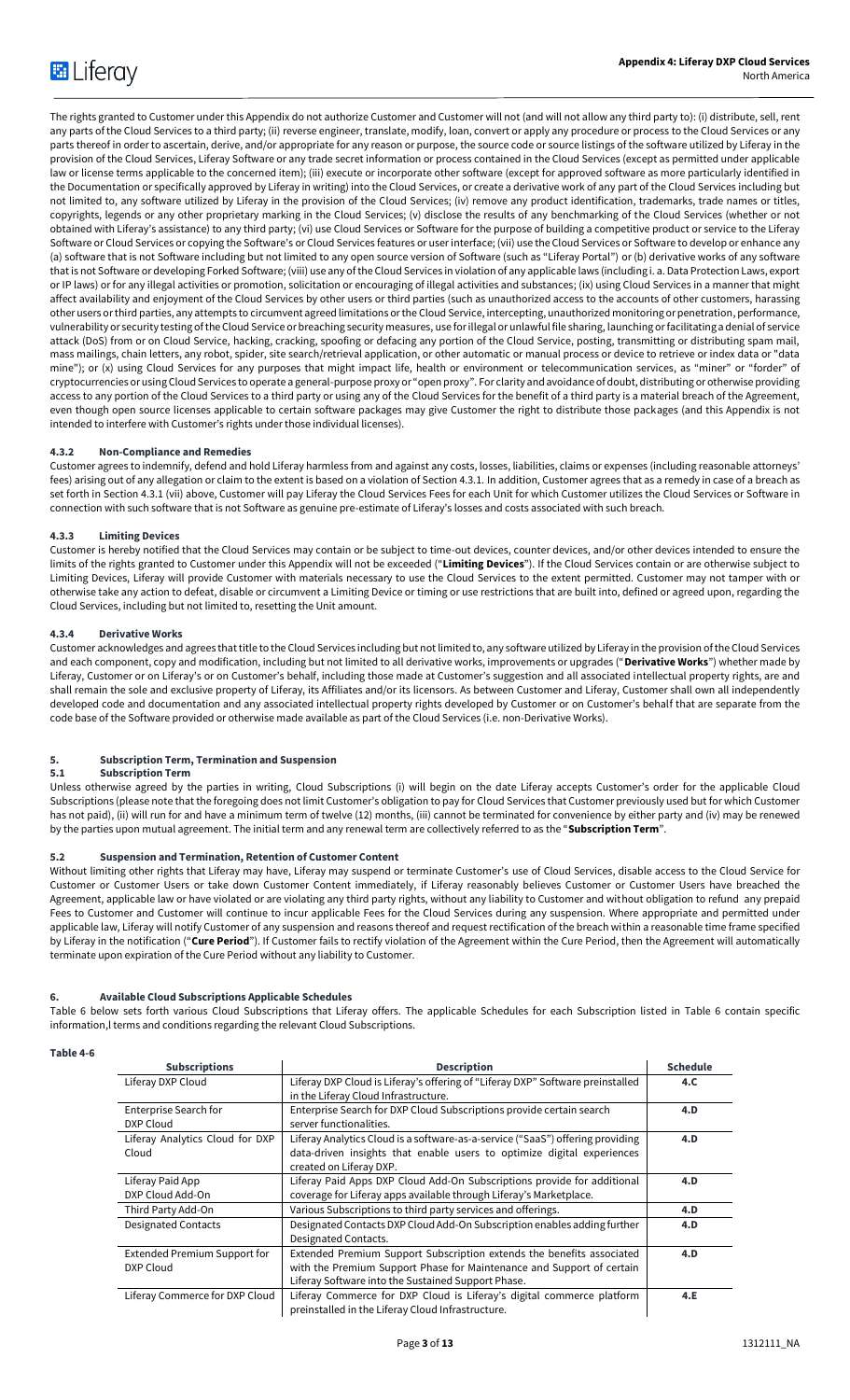The rights granted to Customer under this Appendix do not authorize Customer and Customer will not (and will not allow any third party to): (i) distribute, sell, rent any parts of the Cloud Services to a third party; (ii) reverse engineer, translate, modify, loan, convert or apply any procedure or process to the Cloud Services or any parts thereof in order to ascertain, derive, and/or appropriate for any reason or purpose, the source code or source listings of the software utilized by Liferay in the provision of the Cloud Services, Liferay Software or any trade secret information or process contained in the Cloud Services (except as permitted under applicable law or license terms applicable to the concerned item); (iii) execute or incorporate other software (except for approved software as more particularly identified in the Documentation or specifically approved by Liferay in writing) into the Cloud Services, or create a derivative work of any part of the Cloud Services including but not limited to, any software utilized by Liferay in the provision of the Cloud Services; (iv) remove any product identification, trademarks, trade names or titles, copyrights, legends or any other proprietary marking in the Cloud Services; (v) disclose the results of any benchmarking of the Cloud Services (whether or not obtained with Liferay's assistance) to any third party; (vi) use Cloud Services or Software for the purpose of building a competitive product or service to the Liferay Software or Cloud Services or copying the Software's or Cloud Services features or user interface; (vii) use the Cloud Services or Software to develop or enhance any (a) software that is not Software including but not limited to any open source version of Software (such as "Liferay Portal") or (b) derivative works of any software that is not Software or developing Forked Software; (viii) use any of the Cloud Services in violation of any applicable laws (including i. a. Data Protection Laws, export or IP laws) or for any illegal activities or promotion, solicitation or encouraging of illegal activities and substances; (ix) using Cloud Services in a manner that might affect availability and enjoyment of the Cloud Services by other users or third parties (such as unauthorized access to the accounts of other customers, harassing other users or third parties, any attempts to circumvent agreed limitations or the Cloud Service, intercepting, unauthorized monitoring or penetration, performance, vulnerability or security testing of the Cloud Service or breaching security measures, use forillegal or unlawful file sharing, launching or facilitating a denial of service attack (DoS) from or on Cloud Service, hacking, cracking, spoofing or defacing any portion of the Cloud Service, posting, transmitting or distributing spam mail, mass mailings, chain letters, any robot, spider, site search/retrieval application, or other automatic or manual process or device to retrieve or index data or "data mine"); or (x) using Cloud Services for any purposes that might impact life, health or environment or telecommunication services, as "miner" or "forder" of cryptocurrencies or using Cloud Services to operate a general-purpose proxy or "open proxy". For clarity and avoidance of doubt, distributing or otherwise providing access to any portion of the Cloud Services to a third party or using any of the Cloud Services for the benefit of a third party is a material breach of the Agreement, even though open source licenses applicable to certain software packages may give Customer the right to distribute those packages (and this Appendix is not intended to interfere with Customer's rights under those individual licenses).

# **4.3.2 Non-Compliance and Remedies**

Customer agrees to indemnify, defend and hold Liferay harmless from and against any costs, losses, liabilities, claims or expenses (including reasonable attorneys' fees) arising out of any allegation or claim to the extent is based on a violation of Section 4.3.1. In addition, Customer agrees that as a remedy in case of a breach as set forth in Section 4.3.1 (vii) above, Customer will pay Liferay the Cloud Services Fees for each Unit for which Customer utilizes the Cloud Services or Software in connection with such software that is not Software as genuine pre-estimate of Liferay's losses and costs associated with such breach.

# **4.3.3 Limiting Devices**

Customer is hereby notified that the Cloud Services may contain or be subject to time-out devices, counter devices, and/or other devices intended to ensure the limits of the rights granted to Customer under this Appendix will not be exceeded ("**Limiting Devices**"). If the Cloud Services contain or are otherwise subject to Limiting Devices, Liferay will provide Customer with materials necessary to use the Cloud Services to the extent permitted. Customer may not tamper with or otherwise take any action to defeat, disable or circumvent a Limiting Device or timing or use restrictions that are built into, defined or agreed upon, regarding the Cloud Services, including but not limited to, resetting the Unit amount.

# **4.3.4 Derivative Works**

Customer acknowledges and agrees that title to the Cloud Services including but not limited to, any software utilized by Liferay in the provision of the Cloud Services and each component, copy and modification, including but not limited to all derivative works, improvements or upgrades ("**Derivative Works**") whether made by Liferay, Customer or on Liferay's or on Customer's behalf, including those made at Customer's suggestion and all associated intellectual property rights, are and shall remain the sole and exclusive property of Liferay, its Affiliates and/or its licensors. As between Customer and Liferay, Customer shall own all independently developed code and documentation and any associated intellectual property rights developed by Customer or on Customer's behalf that are separate from the code base of the Software provided or otherwise made available as part of the Cloud Services (i.e. non-Derivative Works).

# **5. Subscription Term, Termination and Suspension**

#### **5.1 Subscription Term**

Unless otherwise agreed by the parties in writing, Cloud Subscriptions (i) will begin on the date Liferay accepts Customer's order for the applicable Cloud Subscriptions (please note that the foregoing does not limit Customer's obligation to pay for Cloud Services that Customer previously used but for which Customer has not paid), (ii) will run for and have a minimum term of twelve (12) months, (iii) cannot be terminated for convenience by either party and (iv) may be renewed by the parties upon mutual agreement. The initial term and any renewal term are collectively referred to as the "**Subscription Term**".

# **5.2 Suspension and Termination, Retention of Customer Content**

Without limiting other rights that Liferay may have, Liferay may suspend or terminate Customer's use of Cloud Services, disable access to the Cloud Service for Customer or Customer Users or take down Customer Content immediately, if Liferay reasonably believes Customer or Customer Users have breached the Agreement, applicable law or have violated or are violating any third party rights, without any liability to Customer and without obligation to refund any prepaid Fees to Customer and Customer will continue to incur applicable Fees for the Cloud Services during any suspension. Where appropriate and permitted under applicable law, Liferay will notify Customer of any suspension and reasons thereof and request rectification of the breach within a reasonable time frame specified by Liferay in the notification ("**Cure Period**"). If Customer fails to rectify violation of the Agreement within the Cure Period, then the Agreement will automatically terminate upon expiration of the Cure Period without any liability to Customer.

# **6. Available Cloud Subscriptions Applicable Schedules**

Table 6 below sets forth various Cloud Subscriptions that Liferay offers. The applicable Schedules for each Subscription listed in Table 6 contain specific information,l terms and conditions regarding the relevant Cloud Subscriptions.

#### **Table 4-6**

| <b>Subscriptions</b>            | <b>Description</b>                                                             | <b>Schedule</b> |
|---------------------------------|--------------------------------------------------------------------------------|-----------------|
| Liferay DXP Cloud               | Liferay DXP Cloud is Liferay's offering of "Liferay DXP" Software preinstalled | 4.C.            |
|                                 | in the Liferay Cloud Infrastructure.                                           |                 |
| Enterprise Search for           | Enterprise Search for DXP Cloud Subscriptions provide certain search           | 4.D             |
| DXP Cloud                       | server functionalities.                                                        |                 |
| Liferay Analytics Cloud for DXP | Liferay Analytics Cloud is a software-as-a-service ("SaaS") offering providing | 4.D             |
| Cloud                           | data-driven insights that enable users to optimize digital experiences         |                 |
|                                 | created on Liferay DXP.                                                        |                 |
| Liferay Paid App                | Liferay Paid Apps DXP Cloud Add-On Subscriptions provide for additional        | 4.D             |
| DXP Cloud Add-On                | coverage for Liferay apps available through Liferay's Marketplace.             |                 |
| Third Party Add-On              | Various Subscriptions to third party services and offerings.                   | 4.D             |
| <b>Designated Contacts</b>      | Designated Contacts DXP Cloud Add-On Subscription enables adding further       | 4.D             |
|                                 | Designated Contacts.                                                           |                 |
| Extended Premium Support for    | Extended Premium Support Subscription extends the benefits associated          | 4.D             |
| DXP Cloud                       | with the Premium Support Phase for Maintenance and Support of certain          |                 |
|                                 | Liferay Software into the Sustained Support Phase.                             |                 |
| Liferay Commerce for DXP Cloud  | Liferay Commerce for DXP Cloud is Liferay's digital commerce platform          | 4.E             |
|                                 | preinstalled in the Liferay Cloud Infrastructure.                              |                 |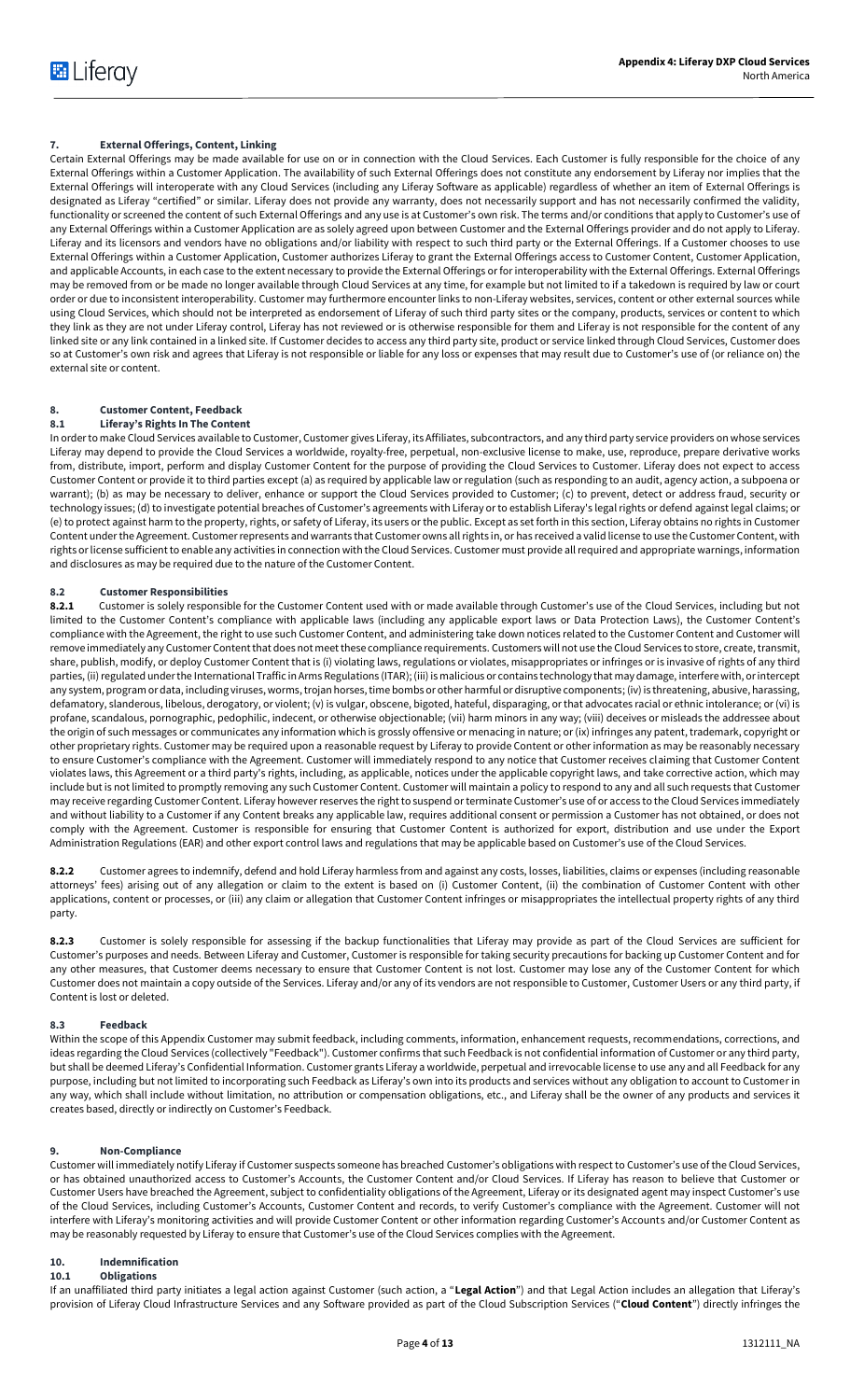# **7. External Offerings, Content, Linking**

Certain External Offerings may be made available for use on or in connection with the Cloud Services. Each Customer is fully responsible for the choice of any External Offerings within a Customer Application. The availability of such External Offerings does not constitute any endorsement by Liferay nor implies that the External Offerings will interoperate with any Cloud Services (including any Liferay Software as applicable) regardless of whether an item of External Offerings is designated as Liferay "certified" or similar. Liferay does not provide any warranty, does not necessarily support and has not necessarily confirmed the validity, functionality or screened the content of such External Offerings and any use is at Customer's own risk. The terms and/or conditions that apply to Customer's use of any External Offerings within a Customer Application are as solely agreed upon between Customer and the External Offerings provider and do not apply to Liferay. Liferay and its licensors and vendors have no obligations and/or liability with respect to such third party or the External Offerings. If a Customer chooses to use External Offerings within a Customer Application, Customer authorizes Liferay to grant the External Offerings access to Customer Content, Customer Application, and applicable Accounts, in each case to the extent necessary to provide the External Offerings or for interoperability with the External Offerings. External Offerings may be removed from or be made no longer available through Cloud Services at any time, for example but not limited to if a takedown is required by law or court order or due to inconsistent interoperability. Customer may furthermore encounter links to non-Liferay websites, services, content or other external sources while using Cloud Services, which should not be interpreted as endorsement of Liferay of such third party sites or the company, products, services or content to which they link as they are not under Liferay control, Liferay has not reviewed or is otherwise responsible for them and Liferay is not responsible for the content of any linked site or any link contained in a linked site. If Customer decides to access any third party site, product or service linked through Cloud Services, Customer does so at Customer's own risk and agrees that Liferay is not responsible or liable for any loss or expenses that may result due to Customer's use of (or reliance on) the external site or content.

### **8. Customer Content, Feedback 8.1 Liferay's Rights In The Content**

In order to make Cloud Services available to Customer, Customer gives Liferay, its Affiliates, subcontractors, and any third party service providers on whose services Liferay may depend to provide the Cloud Services a worldwide, royalty-free, perpetual, non-exclusive license to make, use, reproduce, prepare derivative works from, distribute, import, perform and display Customer Content for the purpose of providing the Cloud Services to Customer. Liferay does not expect to access Customer Content or provide it to third parties except (a) as required by applicable law or regulation (such as responding to an audit, agency action, a subpoena or warrant); (b) as may be necessary to deliver, enhance or support the Cloud Services provided to Customer; (c) to prevent, detect or address fraud, security or technology issues; (d) to investigate potential breaches of Customer's agreements with Liferay or to establish Liferay's legal rights or defend against legal claims; or (e) to protect against harm to the property, rights, or safety of Liferay, its users or the public. Except as set forth in this section, Liferay obtains no rights in Customer Content under the Agreement. Customer represents and warrants that Customer owns all rights in, or has received a valid license to use the Customer Content, with rights or license sufficient to enable any activities in connection with the Cloud Services. Customer must provide all required and appropriate warnings, information and disclosures as may be required due to the nature of the Customer Content.

# **8.2 Customer Responsibilities**

8.2.1 Customer is solely responsible for the Customer Content used with or made available through Customer's use of the Cloud Services, including but not limited to the Customer Content's compliance with applicable laws (including any applicable export laws or Data Protection Laws), the Customer Content's compliance with the Agreement, the right to use such Customer Content, and administering take down notices related to the Customer Content and Customer will remove immediately any Customer Content that does not meet these compliance requirements. Customers will not use the Cloud Services to store, create, transmit, share, publish, modify, or deploy Customer Content that is (i) violating laws, regulations or violates, misappropriates or infringes or is invasive of rights of any third parties, (ii) regulated under the International Traffic in Arms Regulations (ITAR); (iii) is malicious or contains technology that may damage, interfere with, or intercept any system, program or data, including viruses, worms, trojan horses, time bombs or other harmful or disruptive components; (iv) is threatening, abusive, harassing, defamatory, slanderous, libelous, derogatory, or violent; (v) is vulgar, obscene, bigoted, hateful, disparaging, or that advocates racial or ethnic intolerance; or (vi) is profane, scandalous, pornographic, pedophilic, indecent, or otherwise objectionable; (vii) harm minors in any way; (viii) deceives or misleads the addressee about the origin of such messages or communicates any information which is grossly offensive or menacing in nature; or (ix) infringes any patent, trademark, copyright or other proprietary rights. Customer may be required upon a reasonable request by Liferay to provide Content or other information as may be reasonably necessary to ensure Customer's compliance with the Agreement. Customer will immediately respond to any notice that Customer receives claiming that Customer Content violates laws, this Agreement or a third party's rights, including, as applicable, notices under the applicable copyright laws, and take corrective action, which may include but is not limited to promptly removing any such Customer Content. Customer will maintain a policy to respond to any and all such requests that Customer may receive regarding Customer Content. Liferay however reserves the right to suspend or terminate Customer's use of or access to the Cloud Services immediately and without liability to a Customer if any Content breaks any applicable law, requires additional consent or permission a Customer has not obtained, or does not comply with the Agreement. Customer is responsible for ensuring that Customer Content is authorized for export, distribution and use under the Export Administration Regulations (EAR) and other export control laws and regulations that may be applicable based on Customer's use of the Cloud Services.

**8.2.2** Customer agrees to indemnify, defend and hold Liferay harmless from and against any costs, losses, liabilities, claims or expenses (including reasonable attorneys' fees) arising out of any allegation or claim to the extent is based on (i) Customer Content, (ii) the combination of Customer Content with other applications, content or processes, or (iii) any claim or allegation that Customer Content infringes or misappropriates the intellectual property rights of any third party.

**8.2.3** Customer is solely responsible for assessing if the backup functionalities that Liferay may provide as part of the Cloud Services are sufficient for Customer's purposes and needs. Between Liferay and Customer, Customer is responsible for taking security precautions for backing up Customer Content and for any other measures, that Customer deems necessary to ensure that Customer Content is not lost. Customer may lose any of the Customer Content for which Customer does not maintain a copy outside of the Services. Liferay and/or any of its vendors are not responsible to Customer, Customer Users or any third party, if Content is lost or deleted.

# **8.3 Feedback**

Within the scope of this Appendix Customer may submit feedback, including comments, information, enhancement requests, recommendations, corrections, and ideas regarding the Cloud Services (collectively "Feedback"). Customer confirms that such Feedback is not confidential information of Customer or any third party, but shall be deemed Liferay's Confidential Information. Customer grants Liferay a worldwide, perpetual and irrevocable license to use any and all Feedback for any purpose, including but not limited to incorporating such Feedback as Liferay's own into its products and services without any obligation to account to Customer in any way, which shall include without limitation, no attribution or compensation obligations, etc., and Liferay shall be the owner of any products and services it creates based, directly or indirectly on Customer's Feedback.

# **9. Non-Compliance**

Customer will immediately notify Liferay if Customer suspects someone has breached Customer's obligations with respect to Customer's use of the Cloud Services, or has obtained unauthorized access to Customer's Accounts, the Customer Content and/or Cloud Services. If Liferay has reason to believe that Customer or Customer Users have breached the Agreement, subject to confidentiality obligations of the Agreement, Liferay or its designated agent may inspect Customer's use of the Cloud Services, including Customer's Accounts, Customer Content and records, to verify Customer's compliance with the Agreement. Customer will not interfere with Liferay's monitoring activities and will provide Customer Content or other information regarding Customer's Accounts and/or Customer Content as may be reasonably requested by Liferay to ensure that Customer's use of the Cloud Services complies with the Agreement.

# <span id="page-3-0"></span>**10. Indemnification**

**10.1 Obligations** 

If an unaffiliated third party initiates a legal action against Customer (such action, a "**Legal Action**") and that Legal Action includes an allegation that Liferay's provision of Liferay Cloud Infrastructure Services and any Software provided as part of the Cloud Subscription Services ("**Cloud Content**") directly infringes the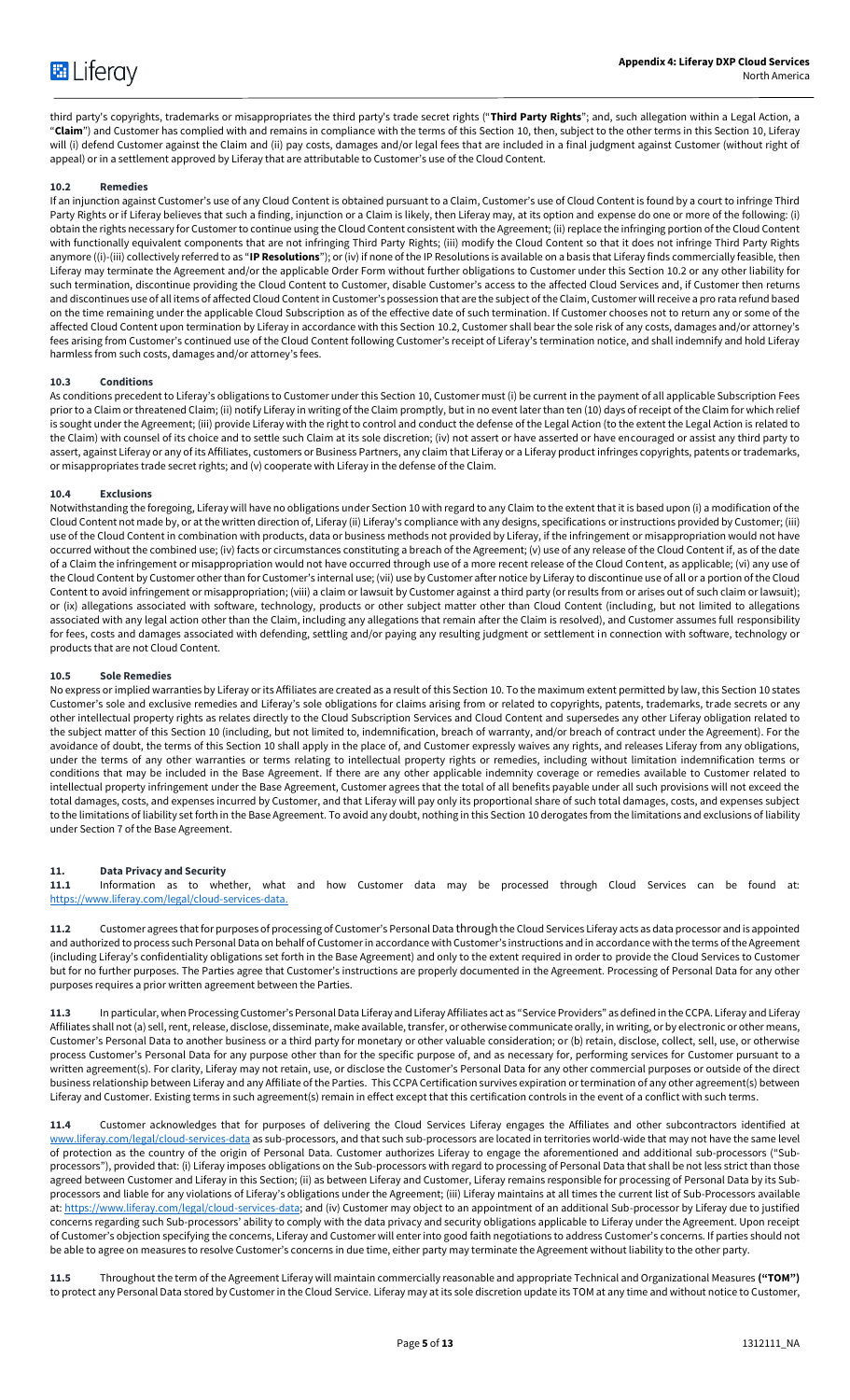third party's copyrights, trademarks or misappropriates the third party's trade secret rights ("**Third Party Rights**"; and, such allegation within a Legal Action, a "**Claim**") and Customer has complied with and remains in compliance with the terms of this Section [10,](#page-3-0) then, subject to the other terms in this Sectio[n 10,](#page-3-0) Liferay will (i) defend Customer against the Claim and (ii) pay costs, damages and/or legal fees that are included in a final judgment against Customer (without right of appeal) or in a settlement approved by Liferay that are attributable to Customer's use of the Cloud Content.

# <span id="page-4-0"></span>**10.2 Remedies**

If an injunction against Customer's use of any Cloud Content is obtained pursuant to a Claim, Customer's use of Cloud Content is found by a court to infringe Third Party Rights or if Liferay believes that such a finding, injunction or a Claim is likely, then Liferay may, at its option and expense do one or more of the following: (i) obtain the rights necessary for Customer to continue using the Cloud Content consistent with the Agreement; (ii) replace the infringing portion of the Cloud Content with functionally equivalent components that are not infringing Third Party Rights; (iii) modify the Cloud Content so that it does not infringe Third Party Rights anymore ((i)-(iii) collectively referred to as "**IP Resolutions**"); or (iv) if none of the IP Resolutions is available on a basis that Liferay finds commercially feasible, then Liferay may terminate the Agreement and/or the applicable Order Form without further obligations to Customer under this Sectio[n 10.2](#page-4-0) or any other liability for such termination, discontinue providing the Cloud Content to Customer, disable Customer's access to the affected Cloud Services and, if Customer then returns and discontinues use of all items of affected Cloud Content in Customer's possession that are the subject of the Claim, Customer will receive a pro rata refund based on the time remaining under the applicable Cloud Subscription as of the effective date of such termination. If Customer chooses not to return any or some of the affected Cloud Content upon termination by Liferay in accordance with this Section 10.2, Customer shall bear the sole risk of any costs, damages and/or attorney's fees arising from Customer's continued use of the Cloud Content following Customer's receipt of Liferay's termination notice, and shall indemnify and hold Liferay harmless from such costs, damages and/or attorney's fees.

# **10.3 Conditions**

As conditions precedent to Liferay's obligations to Customer under this Section 10, Customer must (i) be current in the payment of all applicable Subscription Fees prior to a Claim or threatened Claim; (ii) notify Liferay in writing of the Claim promptly, but in no event later than ten (10) days of receipt of the Claim for which relief is sought under the Agreement; (iii) provide Liferay with the right to control and conduct the defense of the Legal Action (to the extent the Legal Action is related to the Claim) with counsel of its choice and to settle such Claim at its sole discretion; (iv) not assert or have asserted or have encouraged or assist any third party to assert, against Liferay or any of its Affiliates, customers or Business Partners, any claim that Liferay or a Liferay product infringes copyrights, patents or trademarks, or misappropriates trade secret rights; and (v) cooperate with Liferay in the defense of the Claim.

#### **10.4 Exclusions**

Notwithstanding the foregoing, Liferay will have no obligations under Section 10 with regard to any Claim to the extent that it is based upon (i) a modification of the Cloud Content not made by, or at the written direction of, Liferay (ii) Liferay's compliance with any designs, specifications or instructions provided by Customer; (iii) use of the Cloud Content in combination with products, data or business methods not provided by Liferay, if the infringement or misappropriation would not have occurred without the combined use; (iv) facts or circumstances constituting a breach of the Agreement; (v) use of any release of the Cloud Content if, as of the date of a Claim the infringement or misappropriation would not have occurred through use of a more recent release of the Cloud Content, as applicable; (vi) any use of the Cloud Content by Customer other than for Customer's internal use; (vii) use by Customer after notice by Liferay to discontinue use of all or a portion of the Cloud Content to avoid infringement or misappropriation; (viii) a claim or lawsuit by Customer against a third party (or results from or arises out of such claim or lawsuit); or (ix) allegations associated with software, technology, products or other subject matter other than Cloud Content (including, but not limited to allegations associated with any legal action other than the Claim, including any allegations that remain after the Claim is resolved), and Customer assumes full responsibility for fees, costs and damages associated with defending, settling and/or paying any resulting judgment or settlement in connection with software, technology or products that are not Cloud Content.

#### **10.5 Sole Remedies**

No express or implied warranties by Liferay or its Affiliates are created as a result of this Sectio[n 10.](#page-3-0) To the maximum extent permitted by law, this Sectio[n 10](#page-3-0) states Customer's sole and exclusive remedies and Liferay's sole obligations for claims arising from or related to copyrights, patents, trademarks, trade secrets or any other intellectual property rights as relates directly to the Cloud Subscription Services and Cloud Content and supersedes any other Liferay obligation related to the subject matter of this Sectio[n 10](#page-3-0) (including, but not limited to, indemnification, breach of warranty, and/or breach of contract under the Agreement). For the avoidance of doubt, the terms of this Section 10 shall apply in the place of, and Customer expressly waives any rights, and releases Liferay from any obligations, under the terms of any other warranties or terms relating to intellectual property rights or remedies, including without limitation indemnification terms or conditions that may be included in the Base Agreement. If there are any other applicable indemnity coverage or remedies available to Customer related to intellectual property infringement under the Base Agreement, Customer agrees that the total of all benefits payable under all such provisions will not exceed the total damages, costs, and expenses incurred by Customer, and that Liferay will pay only its proportional share of such total damages, costs, and expenses subject to the limitations of liability set forth in the Base Agreement. To avoid any doubt, nothing in this Section 10 derogates from the limitations and exclusions of liability under Section 7 of the Base Agreement.

# <span id="page-4-1"></span>**11. Data Privacy and Security**

**11.1** Information as to whether, what and how Customer data may be processed through Cloud Services can be found at: [https://www.liferay.com/legal/cloud-services-data.](https://www.liferay.com/legal/cloud-services-data) 

**11.2** Customer agrees that for purposes of processing of Customer's Personal Data through the Cloud Services Liferay acts as data processor and is appointed and authorized to process such Personal Data on behalf of Customer in accordance with Customer's instructions and in accordance with the terms of the Agreement (including Liferay's confidentiality obligations set forth in the Base Agreement) and only to the extent required in order to provide the Cloud Services to Customer but for no further purposes. The Parties agree that Customer's instructions are properly documented in the Agreement. Processing of Personal Data for any other purposes requires a prior written agreement between the Parties.

**11.3** In particular, when Processing Customer's Personal Data Liferay and Liferay Affiliates act as "Service Providers" as defined in the CCPA. Liferay and Liferay Affiliates shall not (a) sell, rent, release, disclose, disseminate, make available, transfer, or otherwise communicate orally, in writing, or by electronic or other means, Customer's Personal Data to another business or a third party for monetary or other valuable consideration; or (b) retain, disclose, collect, sell, use, or otherwise process Customer's Personal Data for any purpose other than for the specific purpose of, and as necessary for, performing services for Customer pursuant to a written agreement(s). For clarity, Liferay may not retain, use, or disclose the Customer's Personal Data for any other commercial purposes or outside of the direct business relationship between Liferay and any Affiliate of the Parties. This CCPA Certification survives expiration or termination of any other agreement(s) between Liferay and Customer. Existing terms in such agreement(s) remain in effect except that this certification controls in the event of a conflict with such terms.

**11.4** Customer acknowledges that for purposes of delivering the Cloud Services Liferay engages the Affiliates and other subcontractors identified at www.liferay.com/legal[/cloud-services-data](https://www.liferay.com/de/legal/cloud-services-data) as sub-processors, and that such sub-processors are located in territories world-wide that may not have the same level of protection as the country of the origin of Personal Data. Customer authorizes Liferay to engage the aforementioned and additional sub-processors ("Subprocessors"), provided that: (i) Liferay imposes obligations on the Sub-processors with regard to processing of Personal Data that shall be not less strict than those agreed between Customer and Liferay in this Section; (ii) as between Liferay and Customer, Liferay remains responsible for processing of Personal Data by its Subprocessors and liable for any violations of Liferay's obligations under the Agreement; (iii) Liferay maintains at all times the current list of Sub-Processors available at[: https://www.liferay.com/legal/cloud-services-data;](https://www.liferay.com/legal/cloud-services-data) and (iv) Customer may object to an appointment of an additional Sub-processor by Liferay due to justified concerns regarding such Sub-processors' ability to comply with the data privacy and security obligations applicable to Liferay under the Agreement. Upon receipt of Customer's objection specifying the concerns, Liferay and Customer will enter into good faith negotiations to address Customer's concerns. If parties should not be able to agree on measures to resolve Customer's concerns in due time, either party may terminate the Agreement without liability to the other party.

**11.5** Throughout the term of the Agreement Liferay will maintain commercially reasonable and appropriate Technical and Organizational Measures **("TOM")**  to protect any Personal Data stored by Customer in the Cloud Service. Liferay may at its sole discretion update its TOM at any time and without notice to Customer,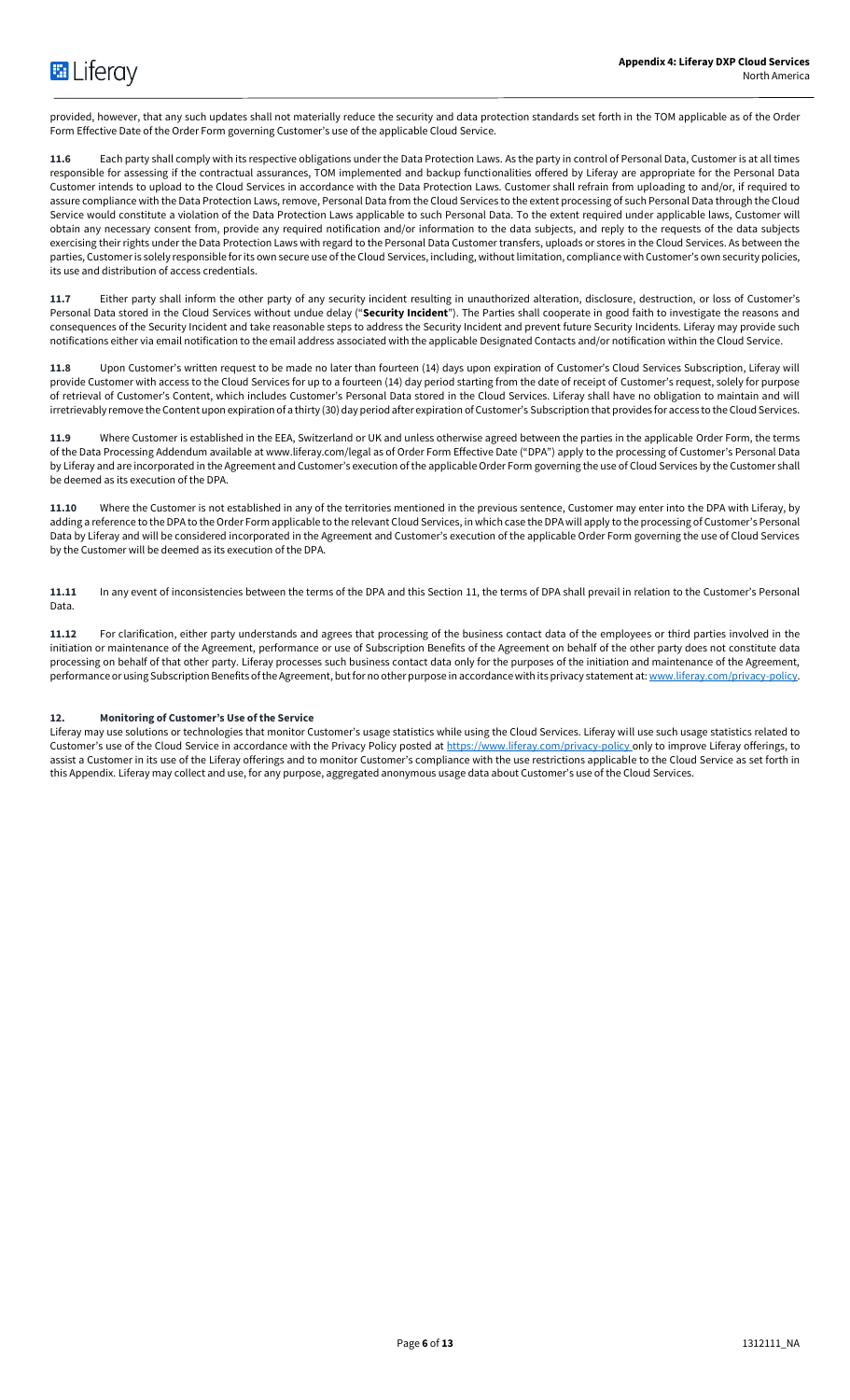provided, however, that any such updates shall not materially reduce the security and data protection standards set forth in the TOM applicable as of the Order Form Effective Date of the Order Form governing Customer's use of the applicable Cloud Service.

**11.6** Each party shall comply with its respective obligations under the Data Protection Laws. As the party in control of Personal Data, Customer is at all times responsible for assessing if the contractual assurances, TOM implemented and backup functionalities offered by Liferay are appropriate for the Personal Data Customer intends to upload to the Cloud Services in accordance with the Data Protection Laws. Customer shall refrain from uploading to and/or, if required to assure compliance with the Data Protection Laws, remove, Personal Data from the Cloud Services to the extent processing of such Personal Data through the Cloud Service would constitute a violation of the Data Protection Laws applicable to such Personal Data. To the extent required under applicable laws, Customer will obtain any necessary consent from, provide any required notification and/or information to the data subjects, and reply to the requests of the data subjects exercising their rights under the Data Protection Laws with regard to the Personal Data Customer transfers, uploads or stores in the Cloud Services. As between the parties, Customer is solely responsible for its own secure use of the Cloud Services, including, without limitation, compliance with Customer's own security policies, its use and distribution of access credentials.

**11.7** Either party shall inform the other party of any security incident resulting in unauthorized alteration, disclosure, destruction, or loss of Customer's Personal Data stored in the Cloud Services without undue delay ("**Security Incident**"). The Parties shall cooperate in good faith to investigate the reasons and consequences of the Security Incident and take reasonable steps to address the Security Incident and prevent future Security Incidents. Liferay may provide such notifications either via email notification to the email address associated with the applicable Designated Contacts and/or notification within the Cloud Service.

**11.8** Upon Customer's written request to be made no later than fourteen (14) days upon expiration of Customer's Cloud Services Subscription, Liferay will provide Customer with access to the Cloud Services for up to a fourteen (14) day period starting from the date of receipt of Customer's request, solely for purpose of retrieval of Customer's Content, which includes Customer's Personal Data stored in the Cloud Services. Liferay shall have no obligation to maintain and will irretrievably remove the Content upon expiration of a thirty (30) day period after expiration of Customer's Subscription that provides for access to the Cloud Services.

**11.9** Where Customer is established in the EEA, Switzerland or UK and unless otherwise agreed between the parties in the applicable Order Form, the terms of the Data Processing Addendum available at www.liferay.com/legal as of Order Form Effective Date ("DPA") apply to the processing of Customer's Personal Data by Liferay and are incorporated in the Agreement and Customer's execution of the applicable Order Form governing the use of Cloud Services by the Customer shall be deemed as its execution of the DPA.

**11.10** Where the Customer is not established in any of the territories mentioned in the previous sentence, Customer may enter into the DPA with Liferay, by adding a reference to the DPA to the Order Form applicable to the relevant Cloud Services, in which case the DPA will apply to the processing of Customer's Personal Data by Liferay and will be considered incorporated in the Agreement and Customer's execution of the applicable Order Form governing the use of Cloud Services by the Customer will be deemed as its execution of the DPA.

**11.11** In any event of inconsistencies between the terms of the DPA and this Sectio[n 11,](#page-4-1) the terms of DPA shall prevail in relation to the Customer's Personal Data.

**11.12** For clarification, either party understands and agrees that processing of the business contact data of the employees or third parties involved in the initiation or maintenance of the Agreement, performance or use of Subscription Benefits of the Agreement on behalf of the other party does not constitute data processing on behalf of that other party. Liferay processes such business contact data only for the purposes of the initiation and maintenance of the Agreement, performance or using Subscription Benefits of the Agreement, but for no other purpose in accordance with its privacy statement at[: www.liferay.com/privacy-policy.](http://www.liferay.com/privacy-policy)

# **12. Monitoring of Customer's Use of the Service**

Liferay may use solutions or technologies that monitor Customer's usage statistics while using the Cloud Services. Liferay will use such usage statistics related to Customer's use of the Cloud Service in accordance with the Privacy Policy posted a[t https://www.liferay.com/privacy-policy](https://www.liferay.com/privacy-policy) only to improve Liferay offerings, to assist a Customer in its use of the Liferay offerings and to monitor Customer's compliance with the use restrictions applicable to the Cloud Service as set forth in this Appendix. Liferay may collect and use, for any purpose, aggregated anonymous usage data about Customer's use of the Cloud Services.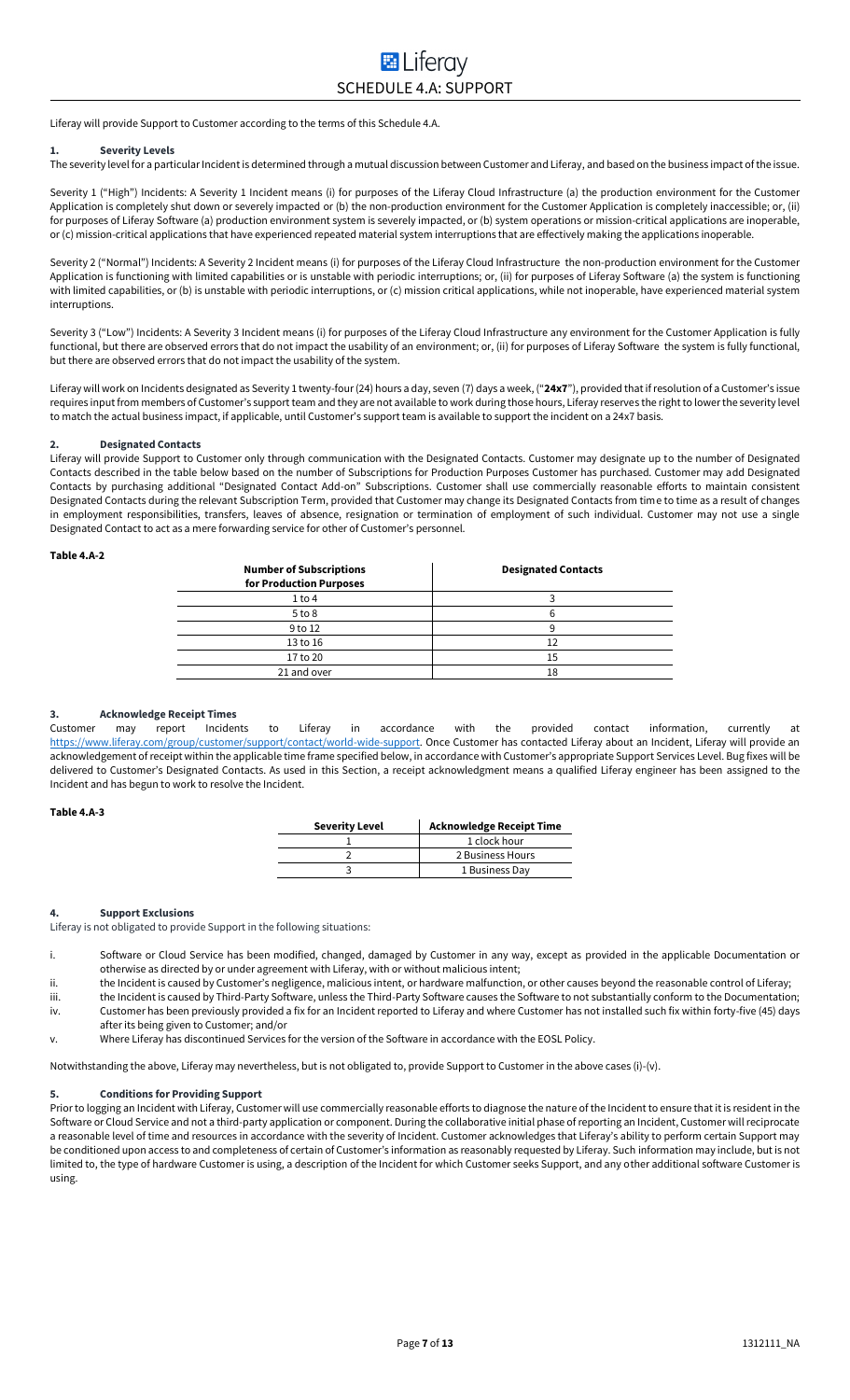Liferay will provide Support to Customer according to the terms of this Schedule 4.A.

#### **1. Severity Levels**

The severity level for a particular Incident is determined through a mutual discussion between Customer and Liferay, and based on the business impact of the issue.

Severity 1 ("High") Incidents: A Severity 1 Incident means (i) for purposes of the Liferay Cloud Infrastructure (a) the production environment for the Customer Application is completely shut down or severely impacted or (b) the non-production environment for the Customer Application is completely inaccessible; or, (ii) for purposes of Liferay Software (a) production environment system is severely impacted, or (b) system operations or mission-critical applications are inoperable, or (c) mission-critical applications that have experienced repeated material system interruptions that are effectively making the applications inoperable.

Severity 2 ("Normal") Incidents: A Severity 2 Incident means (i) for purposes of the Liferay Cloud Infrastructure the non-production environment for the Customer Application is functioning with limited capabilities or is unstable with periodic interruptions; or, (ii) for purposes of Liferay Software (a) the system is functioning with limited capabilities, or (b) is unstable with periodic interruptions, or (c) mission critical applications, while not inoperable, have experienced material system interruptions.

Severity 3 ("Low") Incidents: A Severity 3 Incident means (i) for purposes of the Liferay Cloud Infrastructure any environment for the Customer Application is fully functional, but there are observed errors that do not impact the usability of an environment; or, (ii) for purposes of Liferay Software the system is fully functional, but there are observed errors that do not impact the usability of the system.

Liferay will work on Incidents designated as Severity 1 twenty-four (24) hours a day, seven (7) days a week, ("**24x7**"), provided that if resolution of a Customer's issue requires input from members of Customer's support team and they are not available to work during those hours. Liferay reserves the right to lower the severity level to match the actual business impact, if applicable, until Customer's support team is available to support the incident on a 24x7 basis.

#### **2. Designated Contacts**

Liferay will provide Support to Customer only through communication with the Designated Contacts. Customer may designate up to the number of Designated Contacts described in the table below based on the number of Subscriptions for Production Purposes Customer has purchased. Customer may add Designated Contacts by purchasing additional "Designated Contact Add-on" Subscriptions. Customer shall use commercially reasonable efforts to maintain consistent Designated Contacts during the relevant Subscription Term, provided that Customer may change its Designated Contacts from time to time as a result of changes in employment responsibilities, transfers, leaves of absence, resignation or termination of employment of such individual. Customer may not use a single Designated Contact to act as a mere forwarding service for other of Customer's personnel.

#### **Table 4.A-2**

| h  |
|----|
|    |
| 12 |
| 15 |
| 18 |
|    |

#### **3. Acknowledge Receipt Times**

Customer may report Incidents to Liferay in accordance with the provided contact information, currently at [https://www.liferay.com/group/customer/support/contact/world-wide-support.](https://www.liferay.com/group/customer/support/contact/world-wide-support) Once Customer has contacted Liferay about an Incident, Liferay will provide an acknowledgement of receipt within the applicable time frame specified below, in accordance with Customer's appropriate Support Services Level. Bug fixes will be delivered to Customer's Designated Contacts. As used in this Section, a receipt acknowledgment means a qualified Liferay engineer has been assigned to the Incident and has begun to work to resolve the Incident.

# **Table 4.A-3**

| <b>Severity Level</b> | <b>Acknowledge Receipt Time</b> |
|-----------------------|---------------------------------|
|                       | 1 clock hour                    |
|                       | 2 Business Hours                |
|                       | 1 Business Day                  |

# **4. Support Exclusions**

Liferay is not obligated to provide Support in the following situations:

- i. Software or Cloud Service has been modified, changed, damaged by Customer in any way, except as provided in the applicable Documentation or otherwise as directed by or under agreement with Liferay, with or without malicious intent;
- ii. the Incident is caused by Customer's negligence, malicious intent, or hardware malfunction, or other causes beyond the reasonable control of Liferay;
- iii. the Incident is caused by Third-Party Software, unless the Third-Party Software causes the Software to not substantially conform to the Documentation;
- iv. Customer has been previously provided a fix for an Incident reported to Liferay and where Customer has not installed such fix within forty-five (45) days after its being given to Customer; and/or
- v. Where Liferay has discontinued Services for the version of the Software in accordance with the EOSL Policy.

Notwithstanding the above, Liferay may nevertheless, but is not obligated to, provide Support to Customer in the above cases (i)-(v).

#### **5. Conditions for Providing Support**

Prior to logging an Incident with Liferay, Customer will use commercially reasonable efforts to diagnose the nature of the Incident to ensure that it is resident in the Software or Cloud Service and not a third-party application or component. During the collaborative initial phase of reporting an Incident, Customer will reciprocate a reasonable level of time and resources in accordance with the severity of Incident. Customer acknowledges that Liferay's ability to perform certain Support may be conditioned upon access to and completeness of certain of Customer's information as reasonably requested by Liferay. Such information may include, but is not limited to, the type of hardware Customer is using, a description of the Incident for which Customer seeks Support, and any other additional software Customer is using.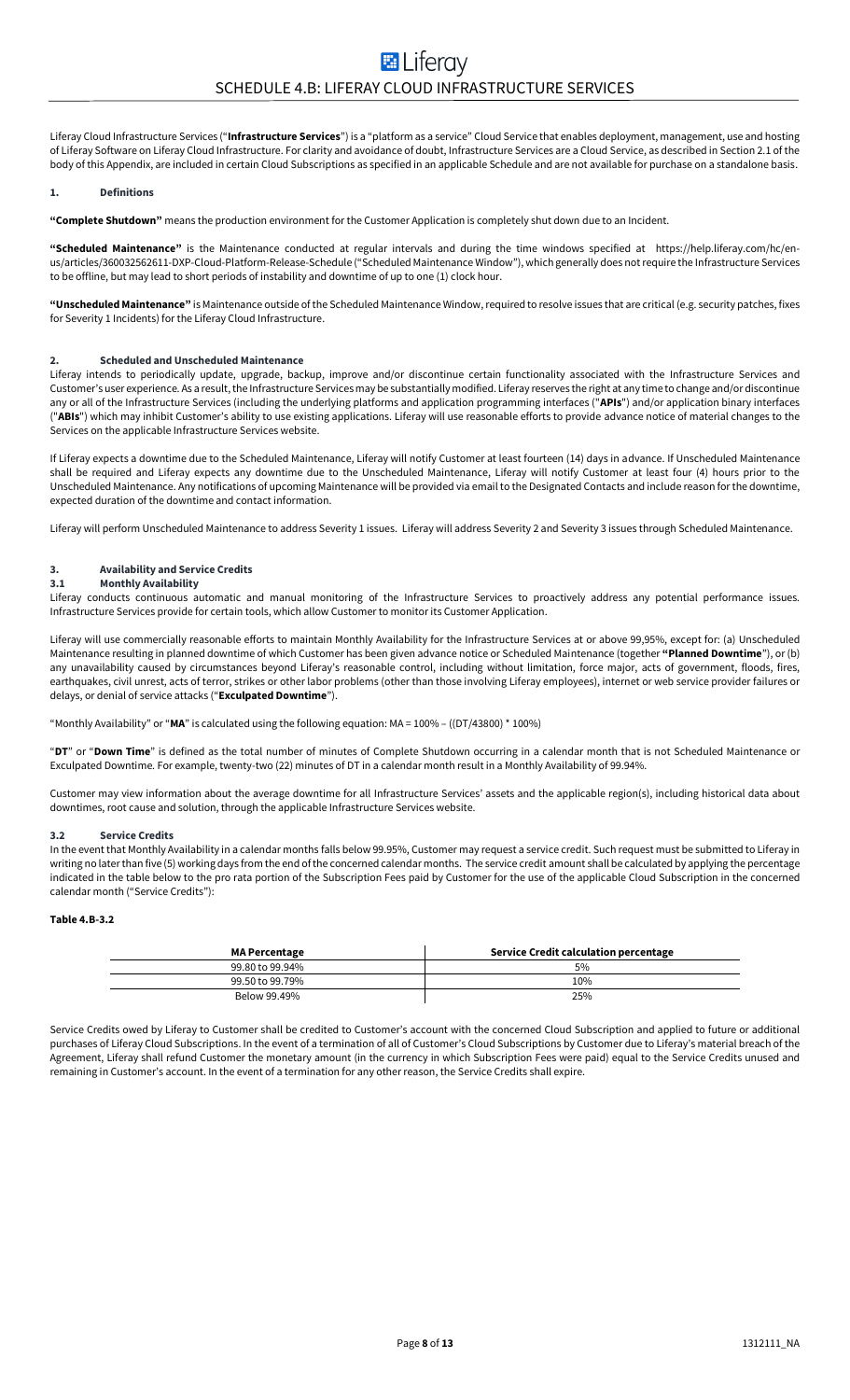Liferay Cloud Infrastructure Services ("**Infrastructure Services**") is a "platform as a service" Cloud Service that enables deployment, management, use and hosting of Liferay Software on Liferay Cloud Infrastructure. For clarity and avoidance of doubt, Infrastructure Services are a Cloud Service, as described in Section 2.1 of the body of this Appendix, are included in certain Cloud Subscriptions as specified in an applicable Schedule and are not available for purchase on a standalone basis.

#### **1. Definitions**

**"Complete Shutdown"** means the production environment for the Customer Application is completely shut down due to an Incident.

**"Scheduled Maintenance"** is the Maintenance conducted at regular intervals and during the time windows specified at https://help.liferay.com/hc/enus/articles/360032562611-DXP-Cloud-Platform-Release-Schedule ("Scheduled Maintenance Window"), which generally does not require the Infrastructure Services to be offline, but may lead to short periods of instability and downtime of up to one (1) clock hour.

**"Unscheduled Maintenance"** is Maintenance outside of the Scheduled Maintenance Window,required to resolve issues that are critical (e.g. security patches, fixes for Severity 1 Incidents) for the Liferay Cloud Infrastructure.

#### **2. Scheduled and Unscheduled Maintenance**

Liferay intends to periodically update, upgrade, backup, improve and/or discontinue certain functionality associated with the Infrastructure Services and Customer's user experience. As a result, the Infrastructure Services may be substantially modified. Liferay reserves the right at any time to change and/or discontinue any or all of the Infrastructure Services (including the underlying platforms and application programming interfaces ("**APIs**") and/or application binary interfaces ("**ABIs**") which may inhibit Customer's ability to use existing applications. Liferay will use reasonable efforts to provide advance notice of material changes to the Services on the applicable Infrastructure Services website.

If Liferay expects a downtime due to the Scheduled Maintenance, Liferay will notify Customer at least fourteen (14) days in advance. If Unscheduled Maintenance shall be required and Liferay expects any downtime due to the Unscheduled Maintenance, Liferay will notify Customer at least four (4) hours prior to the Unscheduled Maintenance. Any notifications of upcoming Maintenance will be provided via email to the Designated Contacts and include reason for the downtime, expected duration of the downtime and contact information.

Liferay will perform Unscheduled Maintenance to address Severity 1 issues. Liferay will address Severity 2 and Severity 3 issues through Scheduled Maintenance.

# **3. Availability and Service Credits**

### **3.1 Monthly Availability**

Liferay conducts continuous automatic and manual monitoring of the Infrastructure Services to proactively address any potential performance issues. Infrastructure Services provide for certain tools, which allow Customer to monitor its Customer Application.

Liferay will use commercially reasonable efforts to maintain Monthly Availability for the Infrastructure Services at or above 99,95%, except for: (a) Unscheduled Maintenance resulting in planned downtime of which Customer has been given advance notice or Scheduled Maintenance (together **"Planned Downtime**"), or (b) any unavailability caused by circumstances beyond Liferay's reasonable control, including without limitation, force major, acts of government, floods, fires, earthquakes, civil unrest, acts of terror, strikes or other labor problems (other than those involving Liferay employees), internet or web service provider failures or delays, or denial of service attacks ("**Exculpated Downtime**").

"Monthly Availability" or "**MA**" is calculated using the following equation: MA = 100% – ((DT/43800) \* 100%)

"**DT**" or "**Down Time**" is defined as the total number of minutes of Complete Shutdown occurring in a calendar month that is not Scheduled Maintenance or Exculpated Downtime. For example, twenty-two (22) minutes of DT in a calendar month result in a Monthly Availability of 99.94%.

Customer may view information about the average downtime for all Infrastructure Services' assets and the applicable region(s), including historical data about downtimes, root cause and solution, through the applicable Infrastructure Services website.

#### **3.2 Service Credits**

In the event that Monthly Availability in a calendar months falls below 99.95%, Customer may request a service credit. Such request must be submitted to Liferay in writing no later than five (5) working days from the end of the concerned calendar months. The service credit amount shall be calculated by applying the percentage indicated in the table below to the pro rata portion of the Subscription Fees paid by Customer for the use of the applicable Cloud Subscription in the concerned calendar month ("Service Credits"):

# **Table 4.B-3.2**

| <b>MA Percentage</b> | Service Credit calculation percentage |
|----------------------|---------------------------------------|
| 99.80 to 99.94%      | 5%                                    |
| 99.50 to 99.79%      | 10%                                   |
| Below 99.49%         | 25%                                   |

Service Credits owed by Liferay to Customer shall be credited to Customer's account with the concerned Cloud Subscription and applied to future or additional purchases of Liferay Cloud Subscriptions. In the event of a termination of all of Customer's Cloud Subscriptions by Customer due to Liferay's material breach of the Agreement, Liferay shall refund Customer the monetary amount (in the currency in which Subscription Fees were paid) equal to the Service Credits unused and remaining in Customer's account. In the event of a termination for any other reason, the Service Credits shall expire.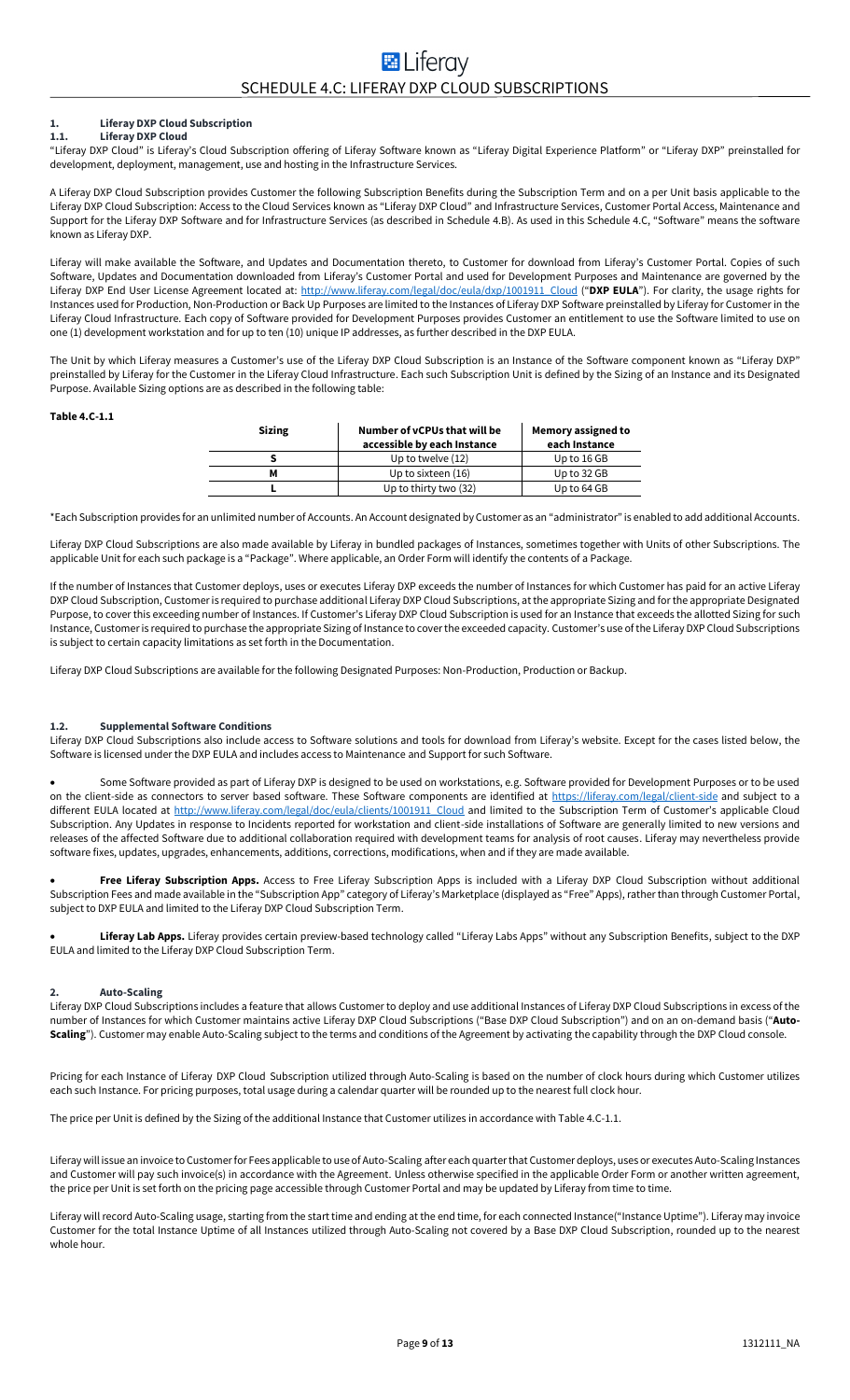#### **1. Liferay DXP Cloud Subscription 1.1. Liferay DXP Cloud**

"Liferay DXP Cloud" is Liferay's Cloud Subscription offering of Liferay Software known as "Liferay Digital Experience Platform" or "Liferay DXP" preinstalled for development, deployment, management, use and hosting in the Infrastructure Services.

A Liferay DXP Cloud Subscription provides Customer the following Subscription Benefits during the Subscription Term and on a per Unit basis applicable to the Liferay DXP Cloud Subscription: Access to the Cloud Services known as "Liferay DXP Cloud" and Infrastructure Services, Customer Portal Access, Maintenance and Support for the Liferay DXP Software and for Infrastructure Services (as described in Schedule 4.B). As used in this Schedule 4.C, "Software" means the software known as Liferay DXP.

Liferay will make available the Software, and Updates and Documentation thereto, to Customer for download from Liferay's Customer Portal. Copies of such Software, Updates and Documentation downloaded from Liferay's Customer Portal and used for Development Purposes and Maintenance are governed by the Liferay DXP End User License Agreement located at[: http://www.liferay.com/legal/doc/eula/dxp/1001911\\_Cloud](http://www.liferay.com/legal/doc/eula/dxp/1001911_Cloud) ("**DXP EULA**"). For clarity, the usage rights for Instances used for Production, Non-Production or Back Up Purposes are limited to the Instances of Liferay DXP Software preinstalled by Liferay for Customer in the Liferay Cloud Infrastructure. Each copy of Software provided for Development Purposes provides Customer an entitlement to use the Software limited to use on one (1) development workstation and for up to ten (10) unique IP addresses, as further described in the DXP EULA.

The Unit by which Liferay measures a Customer's use of the Liferay DXP Cloud Subscription is an Instance of the Software component known as "Liferay DXP" preinstalled by Liferay for the Customer in the Liferay Cloud Infrastructure. Each such Subscription Unit is defined by the Sizing of an Instance and its Designated Purpose. Available Sizing options are as described in the following table:

#### **Table 4.C-1.1**

| <b>Sizing</b> | Number of vCPUs that will be<br><b>Memory assigned to</b><br>accessible by each Instance<br>each Instance |             |
|---------------|-----------------------------------------------------------------------------------------------------------|-------------|
|               | Up to twelve $(12)$                                                                                       | Up to 16 GB |
| м             | Up to sixteen (16)<br>Up to 32 GB                                                                         |             |
|               | Up to thirty two (32)                                                                                     | Up to 64 GB |

\*Each Subscription provides for an unlimited number of Accounts. An Account designated by Customer as an "administrator" is enabled to add additional Accounts.

Liferay DXP Cloud Subscriptions are also made available by Liferay in bundled packages of Instances, sometimes together with Units of other Subscriptions. The applicable Unit for each such package is a "Package". Where applicable, an Order Form will identify the contents of a Package.

If the number of Instances that Customer deploys, uses or executes Liferay DXP exceeds the number of Instances for which Customer has paid for an active Liferay DXP Cloud Subscription, Customer is required to purchase additional Liferay DXP Cloud Subscriptions, at the appropriate Sizing and for the appropriate Designated Purpose, to cover this exceeding number of Instances. If Customer's Liferay DXP Cloud Subscription is used for an Instance that exceeds the allotted Sizing for such Instance, Customer is required to purchase the appropriate Sizing of Instance to cover the exceeded capacity. Customer's use of the Liferay DXP Cloud Subscriptions is subject to certain capacity limitations as set forth in the Documentation.

Liferay DXP Cloud Subscriptions are available for the following Designated Purposes: Non-Production, Production or Backup.

# **1.2. Supplemental Software Conditions**

Liferay DXP Cloud Subscriptions also include access to Software solutions and tools for download from Liferay's website. Except for the cases listed below, the Software is licensed under the DXP EULA and includes access to Maintenance and Support for such Software.

• Some Software provided as part of Liferay DXP is designed to be used on workstations, e.g. Software provided for Development Purposes or to be used on the client-side as connectors to server based software. These Software components are identified at<https://liferay.com/legal/client-side> and subject to a different EULA located at [http://www.liferay.com/legal/doc/eula/clients/1001911\\_Cloud](http://www.liferay.com/legal/doc/eula/clients/1001911_Cloud) and limited to the Subscription Term of Customer's applicable Cloud Subscription. Any Updates in response to Incidents reported for workstation and client-side installations of Software are generally limited to new versions and releases of the affected Software due to additional collaboration required with development teams for analysis of root causes. Liferay may nevertheless provide software fixes, updates, upgrades, enhancements, additions, corrections, modifications, when and if they are made available.

• **Free Liferay Subscription Apps.** Access to Free Liferay Subscription Apps is included with a Liferay DXP Cloud Subscription without additional Subscription Fees and made available in the "Subscription App" category of Liferay's Marketplace (displayed as "Free" Apps), rather than through Customer Portal, subject to DXP EULA and limited to the Liferay DXP Cloud Subscription Term.

Liferay Lab Apps. Liferay provides certain preview-based technology called "Liferay Labs Apps" without any Subscription Benefits, subject to the DXP EULA and limited to the Liferay DXP Cloud Subscription Term.

### **2. Auto-Scaling**

Liferay DXP Cloud Subscriptions includes a feature that allows Customer to deploy and use additional Instances of Liferay DXP Cloud Subscriptions in excess of the number of Instances for which Customer maintains active Liferay DXP Cloud Subscriptions ("Base DXP Cloud Subscription") and on an on-demand basis ("**Auto-Scaling**"). Customer may enable Auto-Scaling subject to the terms and conditions of the Agreement by activating the capability through the DXP Cloud console.

Pricing for each Instance of Liferay DXP Cloud Subscription utilized through Auto-Scaling is based on the number of clock hours during which Customer utilizes each such Instance. For pricing purposes, total usage during a calendar quarter will be rounded up to the nearest full clock hour.

The price per Unit is defined by the Sizing of the additional Instance that Customer utilizes in accordance with Table 4.C-1.1.

Liferay will issue an invoice to Customerfor Fees applicable to use of Auto-Scaling after each quarter that Customer deploys, uses or executes Auto-Scaling Instances and Customer will pay such invoice(s) in accordance with the Agreement. Unless otherwise specified in the applicable Order Form or another written agreement, the price per Unit is set forth on the pricing page accessible through Customer Portal and may be updated by Liferay from time to time.

Liferay will record Auto-Scaling usage, starting from the start time and ending at the end time, for each connected Instance("Instance Uptime"). Liferay may invoice Customer for the total Instance Uptime of all Instances utilized through Auto-Scaling not covered by a Base DXP Cloud Subscription, rounded up to the nearest whole hour.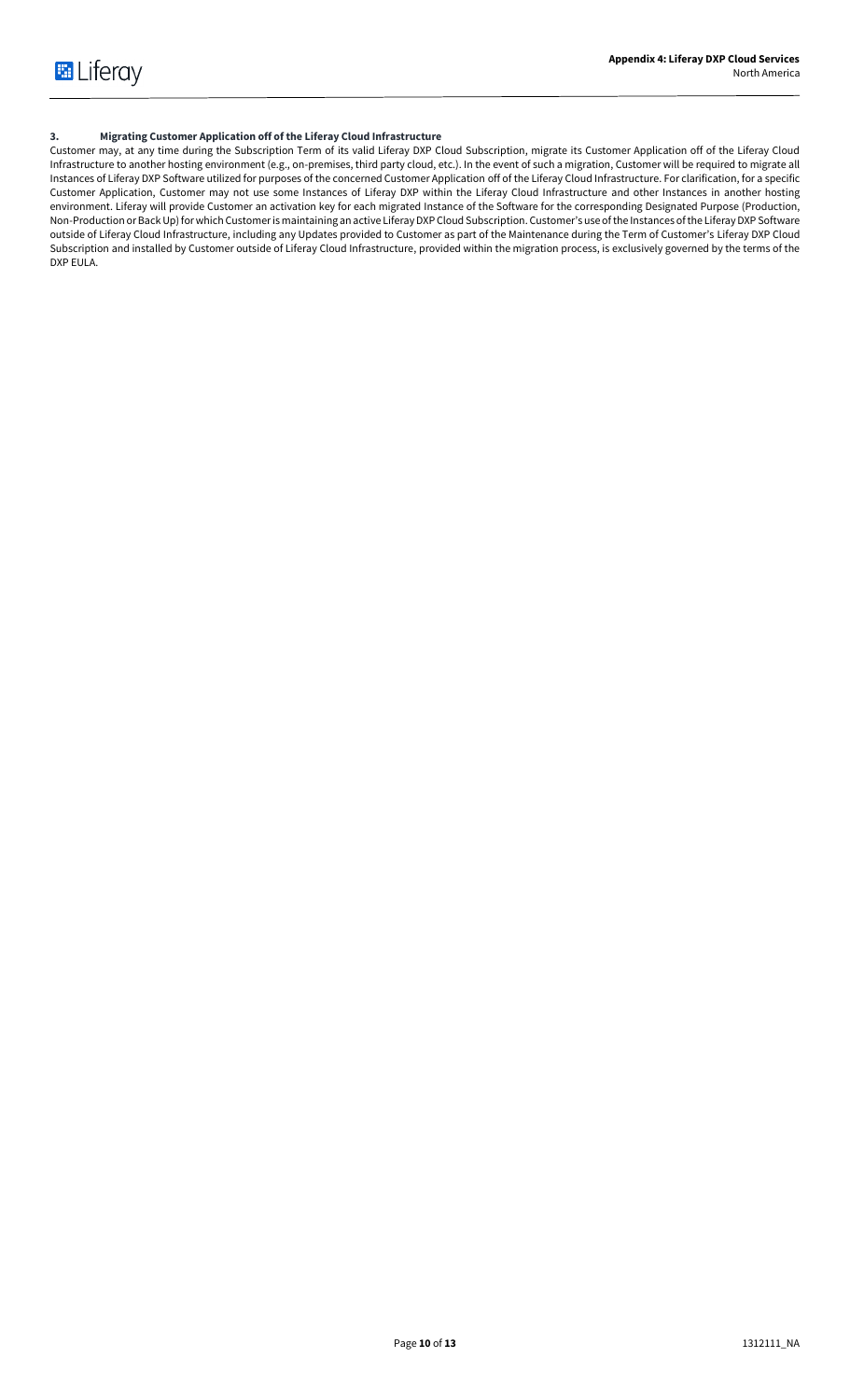# **3. Migrating Customer Application off of the Liferay Cloud Infrastructure**

Customer may, at any time during the Subscription Term of its valid Liferay DXP Cloud Subscription, migrate its Customer Application off of the Liferay Cloud Infrastructure to another hosting environment (e.g., on-premises, third party cloud, etc.). In the event of such a migration, Customer will be required to migrate all Instances of Liferay DXP Software utilized for purposes of the concerned Customer Application off of the Liferay Cloud Infrastructure. For clarification, for a specific Customer Application, Customer may not use some Instances of Liferay DXP within the Liferay Cloud Infrastructure and other Instances in another hosting environment. Liferay will provide Customer an activation key for each migrated Instance of the Software for the corresponding Designated Purpose (Production, Non-Production or BackUp) for which Customer is maintaining an active Liferay DXP Cloud Subscription. Customer's use of the Instances of the Liferay DXP Software outside of Liferay Cloud Infrastructure, including any Updates provided to Customer as part of the Maintenance during the Term of Customer's Liferay DXP Cloud Subscription and installed by Customer outside of Liferay Cloud Infrastructure, provided within the migration process, is exclusively governed by the terms of the DXP EULA.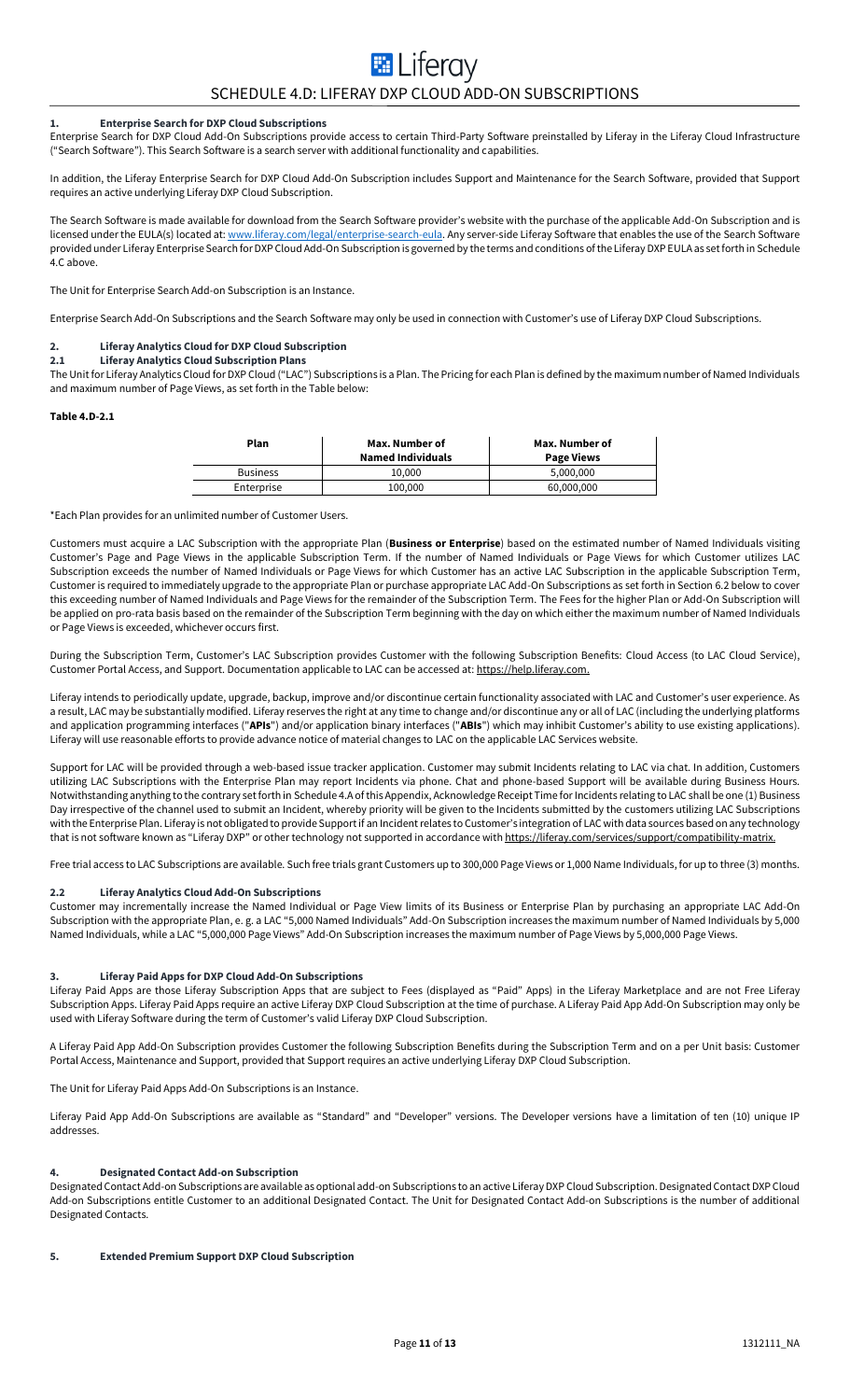# **E** Liferay SCHEDULE 4.D: LIFERAY DXP CLOUD ADD-ON SUBSCRIPTIONS

# **1. Enterprise Search for DXP Cloud Subscriptions**

Enterprise Search for DXP Cloud Add-On Subscriptions provide access to certain Third-Party Software preinstalled by Liferay in the Liferay Cloud Infrastructure ("Search Software"). This Search Software is a search server with additional functionality and capabilities.

In addition, the Liferay Enterprise Search for DXP Cloud Add-On Subscription includes Support and Maintenance for the Search Software, provided that Support requires an active underlying Liferay DXP Cloud Subscription.

The Search Software is made available for download from the Search Software provider's website with the purchase of the applicable Add-On Subscription and is licensed under the EULA(s) located at[: www.liferay.com/legal/enterprise-search-eula.](http://www.liferay.com/legal/enterprise-search-eula) Any server-side Liferay Software that enables the use of the Search Software provided under Liferay Enterprise Search for DXP Cloud Add-On Subscription is governed by the terms and conditions of the Liferay DXP EULA as set forth in Schedule 4.C above.

The Unit for Enterprise Search Add-on Subscription is an Instance.

Enterprise Search Add-On Subscriptions and the Search Software may only be used in connection with Customer's use of Liferay DXP Cloud Subscriptions.

#### **2. Liferay Analytics Cloud for DXP Cloud Subscription 2.1 Liferay Analytics Cloud Subscription Plans**

The Unit for Liferay Analytics Cloud for DXP Cloud ("LAC") Subscriptions is a Plan. The Pricing for each Plan is defined by the maximum number of Named Individuals and maximum number of Page Views, as set forth in the Table below:

#### **Table 4.D-2.1**

| Plan            | Max. Number of<br><b>Named Individuals</b> | Max. Number of<br><b>Page Views</b> |
|-----------------|--------------------------------------------|-------------------------------------|
| <b>Business</b> | 10.000                                     | 5.000.000                           |
| Enterprise      | 100,000                                    | 60,000,000                          |

\*Each Plan provides for an unlimited number of Customer Users.

Customers must acquire a LAC Subscription with the appropriate Plan (**Business or Enterprise**) based on the estimated number of Named Individuals visiting Customer's Page and Page Views in the applicable Subscription Term. If the number of Named Individuals or Page Views for which Customer utilizes LAC Subscription exceeds the number of Named Individuals or Page Views for which Customer has an active LAC Subscription in the applicable Subscription Term, Customer is required to immediately upgrade to the appropriate Plan or purchase appropriate LAC Add-On Subscriptions as set forth in Section 6.2 below to cover this exceeding number of Named Individuals and Page Views for the remainder of the Subscription Term. The Fees for the higher Plan or Add-On Subscription will be applied on pro-rata basis based on the remainder of the Subscription Term beginning with the day on which either the maximum number of Named Individuals or Page Views is exceeded, whichever occurs first.

During the Subscription Term, Customer's LAC Subscription provides Customer with the following Subscription Benefits: Cloud Access (to LAC Cloud Service), Customer Portal Access, and Support. Documentation applicable to LAC can be accessed at[: https://help.liferay.com.](https://help.liferay.com/) 

Liferay intends to periodically update, upgrade, backup, improve and/or discontinue certain functionality associated with LAC and Customer's user experience. As a result, LAC may be substantially modified. Liferay reserves the right at any time to change and/or discontinue any or all of LAC (including the underlying platforms and application programming interfaces ("**APIs**") and/or application binary interfaces ("**ABIs**") which may inhibit Customer's ability to use existing applications). Liferay will use reasonable efforts to provide advance notice of material changes to LAC on the applicable LAC Services website.

Support for LAC will be provided through a web-based issue tracker application. Customer may submit Incidents relating to LAC via chat. In addition, Customers utilizing LAC Subscriptions with the Enterprise Plan may report Incidents via phone. Chat and phone-based Support will be available during Business Hours. Notwithstanding anything to the contrary set forth in Schedule 4.A of this Appendix, Acknowledge Receipt Time for Incidents relating to LAC shall be one (1) Business Day irrespective of the channel used to submit an Incident, whereby priority will be given to the Incidents submitted by the customers utilizing LAC Subscriptions with the Enterprise Plan. Liferay is not obligated to provide Support if an Incident relates to Customer's integration of LAC with data sources based on any technology that is not software known as "Liferay DXP" or other technology not supported in accordance wit[h https://liferay.com/services/support/compatibility-matrix.](https://liferay.com/services/support/compatibility-matrix)

Free trial access to LAC Subscriptions are available. Such free trials grant Customers up to 300,000 Page Views or 1,000 Name Individuals, for up to three (3) months.

#### **2.2 Liferay Analytics Cloud Add-On Subscriptions**

Customer may incrementally increase the Named Individual or Page View limits of its Business or Enterprise Plan by purchasing an appropriate LAC Add-On Subscription with the appropriate Plan, e. g. a LAC "5,000 Named Individuals" Add-On Subscription increases the maximum number of Named Individuals by 5,000 Named Individuals, while a LAC "5,000,000 Page Views" Add-On Subscription increases the maximum number of Page Views by 5,000,000 Page Views.

# **3. Liferay Paid Apps for DXP Cloud Add-On Subscriptions**

Liferay Paid Apps are those Liferay Subscription Apps that are subject to Fees (displayed as "Paid" Apps) in the Liferay Marketplace and are not Free Liferay Subscription Apps. Liferay Paid Apps require an active Liferay DXP Cloud Subscription at the time of purchase. A Liferay Paid App Add-On Subscription may only be used with Liferay Software during the term of Customer's valid Liferay DXP Cloud Subscription.

A Liferay Paid App Add-On Subscription provides Customer the following Subscription Benefits during the Subscription Term and on a per Unit basis: Customer Portal Access, Maintenance and Support, provided that Support requires an active underlying Liferay DXP Cloud Subscription.

The Unit for Liferay Paid Apps Add-On Subscriptions is an Instance.

Liferay Paid App Add-On Subscriptions are available as "Standard" and "Developer" versions. The Developer versions have a limitation of ten (10) unique IP addresses.

#### **4. Designated Contact Add-on Subscription**

Designated Contact Add-on Subscriptions are available as optional add-on Subscriptions to an active Liferay DXP Cloud Subscription. Designated Contact DXP Cloud Add-on Subscriptions entitle Customer to an additional Designated Contact. The Unit for Designated Contact Add-on Subscriptions is the number of additional Designated Contacts.

#### **5. Extended Premium Support DXP Cloud Subscription**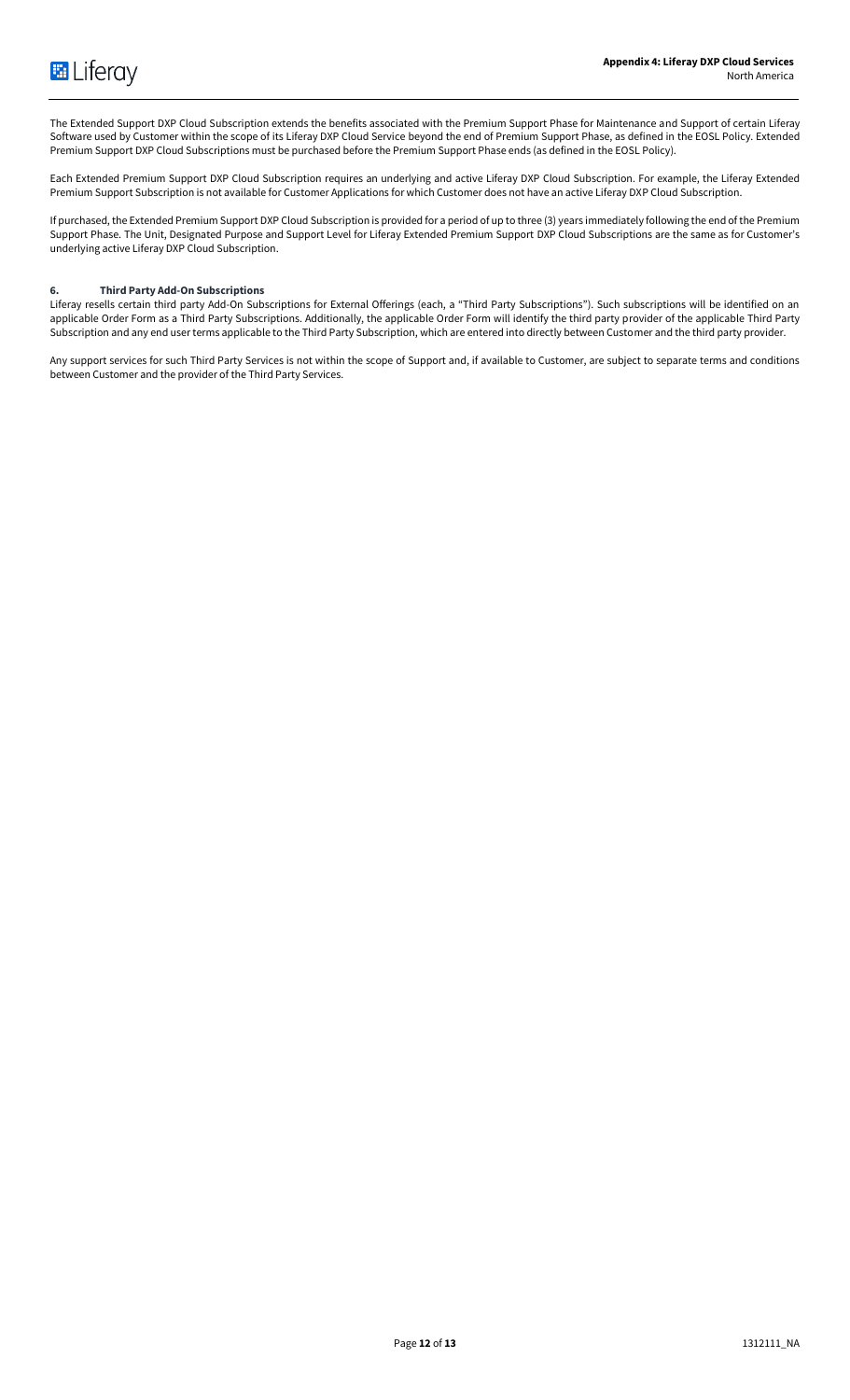The Extended Support DXP Cloud Subscription extends the benefits associated with the Premium Support Phase for Maintenance and Support of certain Liferay Software used by Customer within the scope of its Liferay DXP Cloud Service beyond the end of Premium Support Phase, as defined in the EOSL Policy. Extended Premium Support DXP Cloud Subscriptions must be purchased before the Premium Support Phase ends (as defined in the EOSL Policy).

Each Extended Premium Support DXP Cloud Subscription requires an underlying and active Liferay DXP Cloud Subscription. For example, the Liferay Extended Premium Support Subscription is not available for Customer Applications for which Customer does not have an active Liferay DXP Cloud Subscription.

If purchased, the Extended Premium Support DXP Cloud Subscription is provided for a period of up to three (3) years immediately following the end of the Premium Support Phase. The Unit, Designated Purpose and Support Level for Liferay Extended Premium Support DXP Cloud Subscriptions are the same as for Customer's underlying active Liferay DXP Cloud Subscription.

# **6. Third Party Add-On Subscriptions**

Liferay resells certain third party Add-On Subscriptions for External Offerings (each, a "Third Party Subscriptions"). Such subscriptions will be identified on an applicable Order Form as a Third Party Subscriptions. Additionally, the applicable Order Form will identify the third party provider of the applicable Third Party Subscription and any end user terms applicable to the Third Party Subscription, which are entered into directly between Customer and the third party provider.

Any support services for such Third Party Services is not within the scope of Support and, if available to Customer, are subject to separate terms and conditions between Customer and the provider of the Third Party Services.